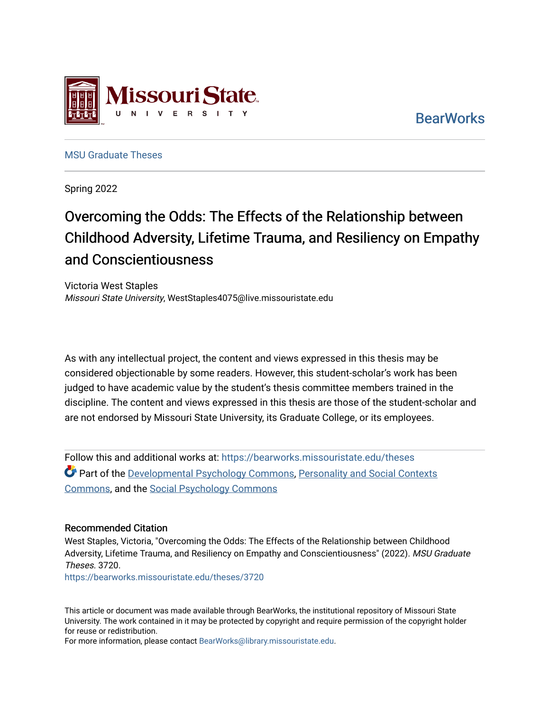

**BearWorks** 

[MSU Graduate Theses](https://bearworks.missouristate.edu/theses) 

Spring 2022

# Overcoming the Odds: The Effects of the Relationship between Childhood Adversity, Lifetime Trauma, and Resiliency on Empathy and Conscientiousness

Victoria West Staples Missouri State University, WestStaples4075@live.missouristate.edu

As with any intellectual project, the content and views expressed in this thesis may be considered objectionable by some readers. However, this student-scholar's work has been judged to have academic value by the student's thesis committee members trained in the discipline. The content and views expressed in this thesis are those of the student-scholar and are not endorsed by Missouri State University, its Graduate College, or its employees.

Follow this and additional works at: [https://bearworks.missouristate.edu/theses](https://bearworks.missouristate.edu/theses?utm_source=bearworks.missouristate.edu%2Ftheses%2F3720&utm_medium=PDF&utm_campaign=PDFCoverPages)  Part of the [Developmental Psychology Commons,](http://network.bepress.com/hgg/discipline/410?utm_source=bearworks.missouristate.edu%2Ftheses%2F3720&utm_medium=PDF&utm_campaign=PDFCoverPages) [Personality and Social Contexts](http://network.bepress.com/hgg/discipline/413?utm_source=bearworks.missouristate.edu%2Ftheses%2F3720&utm_medium=PDF&utm_campaign=PDFCoverPages)  [Commons,](http://network.bepress.com/hgg/discipline/413?utm_source=bearworks.missouristate.edu%2Ftheses%2F3720&utm_medium=PDF&utm_campaign=PDFCoverPages) and the [Social Psychology Commons](http://network.bepress.com/hgg/discipline/414?utm_source=bearworks.missouristate.edu%2Ftheses%2F3720&utm_medium=PDF&utm_campaign=PDFCoverPages) 

#### Recommended Citation

West Staples, Victoria, "Overcoming the Odds: The Effects of the Relationship between Childhood Adversity, Lifetime Trauma, and Resiliency on Empathy and Conscientiousness" (2022). MSU Graduate Theses. 3720. [https://bearworks.missouristate.edu/theses/3720](https://bearworks.missouristate.edu/theses/3720?utm_source=bearworks.missouristate.edu%2Ftheses%2F3720&utm_medium=PDF&utm_campaign=PDFCoverPages) 

This article or document was made available through BearWorks, the institutional repository of Missouri State University. The work contained in it may be protected by copyright and require permission of the copyright holder for reuse or redistribution.

For more information, please contact [BearWorks@library.missouristate.edu.](mailto:BearWorks@library.missouristate.edu)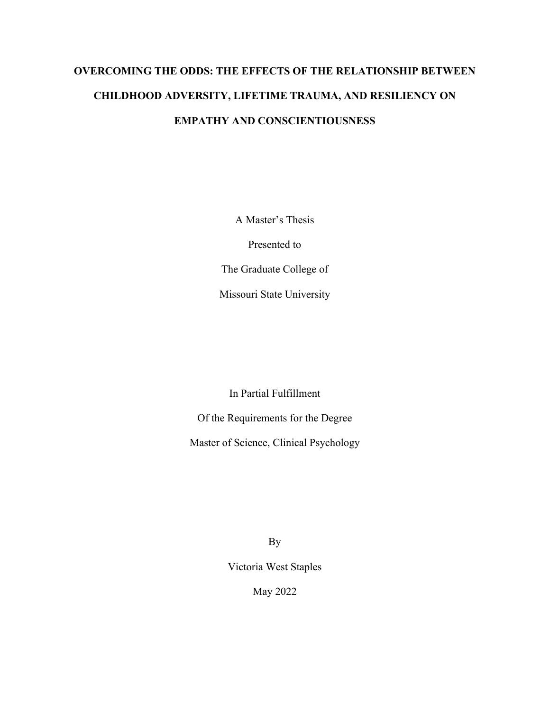# **OVERCOMING THE ODDS: THE EFFECTS OF THE RELATIONSHIP BETWEEN CHILDHOOD ADVERSITY, LIFETIME TRAUMA, AND RESILIENCY ON EMPATHY AND CONSCIENTIOUSNESS**

A Master's Thesis

Presented to

The Graduate College of

Missouri State University

In Partial Fulfillment

Of the Requirements for the Degree

Master of Science, Clinical Psychology

By

Victoria West Staples

May 2022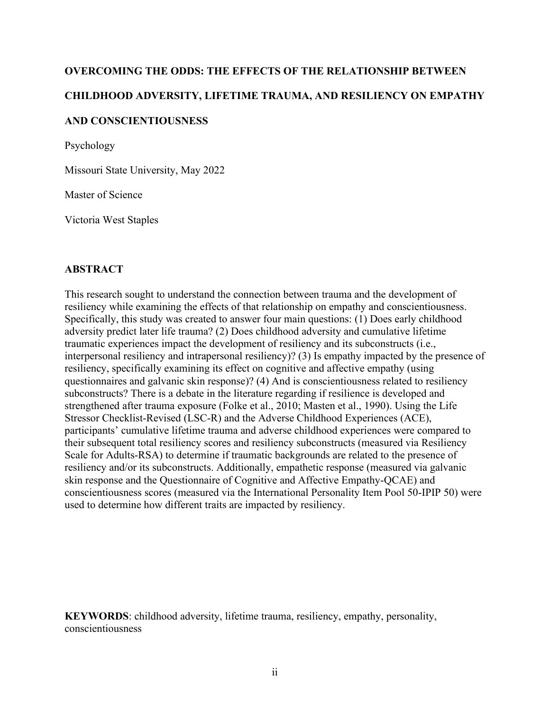# **OVERCOMING THE ODDS: THE EFFECTS OF THE RELATIONSHIP BETWEEN CHILDHOOD ADVERSITY, LIFETIME TRAUMA, AND RESILIENCY ON EMPATHY AND CONSCIENTIOUSNESS**

Psychology

Missouri State University, May 2022

Master of Science

Victoria West Staples

#### **ABSTRACT**

This research sought to understand the connection between trauma and the development of resiliency while examining the effects of that relationship on empathy and conscientiousness. Specifically, this study was created to answer four main questions: (1) Does early childhood adversity predict later life trauma? (2) Does childhood adversity and cumulative lifetime traumatic experiences impact the development of resiliency and its subconstructs (i.e., interpersonal resiliency and intrapersonal resiliency)? (3) Is empathy impacted by the presence of resiliency, specifically examining its effect on cognitive and affective empathy (using questionnaires and galvanic skin response)? (4) And is conscientiousness related to resiliency subconstructs? There is a debate in the literature regarding if resilience is developed and strengthened after trauma exposure (Folke et al., 2010; Masten et al., 1990). Using the Life Stressor Checklist-Revised (LSC-R) and the Adverse Childhood Experiences (ACE), participants' cumulative lifetime trauma and adverse childhood experiences were compared to their subsequent total resiliency scores and resiliency subconstructs (measured via Resiliency Scale for Adults-RSA) to determine if traumatic backgrounds are related to the presence of resiliency and/or its subconstructs. Additionally, empathetic response (measured via galvanic skin response and the Questionnaire of Cognitive and Affective Empathy-QCAE) and conscientiousness scores (measured via the International Personality Item Pool 50-IPIP 50) were used to determine how different traits are impacted by resiliency.

**KEYWORDS**: childhood adversity, lifetime trauma, resiliency, empathy, personality, conscientiousness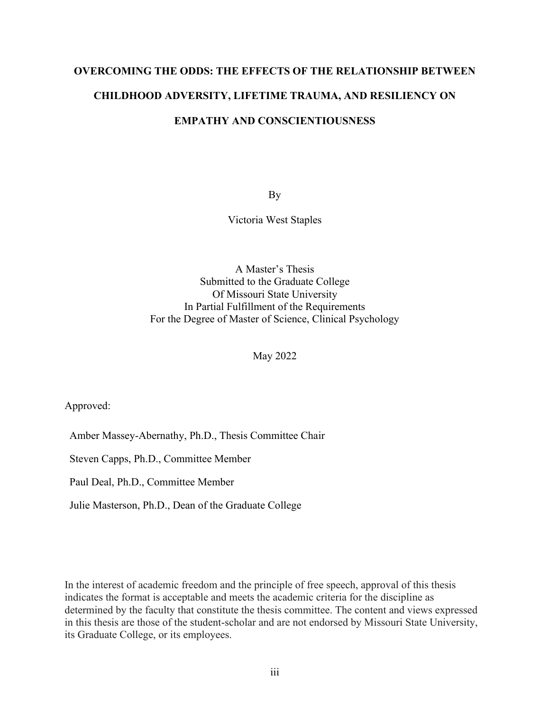# **OVERCOMING THE ODDS: THE EFFECTS OF THE RELATIONSHIP BETWEEN CHILDHOOD ADVERSITY, LIFETIME TRAUMA, AND RESILIENCY ON EMPATHY AND CONSCIENTIOUSNESS**

By

Victoria West Staples

A Master's Thesis Submitted to the Graduate College Of Missouri State University In Partial Fulfillment of the Requirements For the Degree of Master of Science, Clinical Psychology

May 2022

Approved:

Amber Massey-Abernathy, Ph.D., Thesis Committee Chair

Steven Capps, Ph.D., Committee Member

Paul Deal, Ph.D., Committee Member

Julie Masterson, Ph.D., Dean of the Graduate College

In the interest of academic freedom and the principle of free speech, approval of this thesis indicates the format is acceptable and meets the academic criteria for the discipline as determined by the faculty that constitute the thesis committee. The content and views expressed in this thesis are those of the student-scholar and are not endorsed by Missouri State University, its Graduate College, or its employees.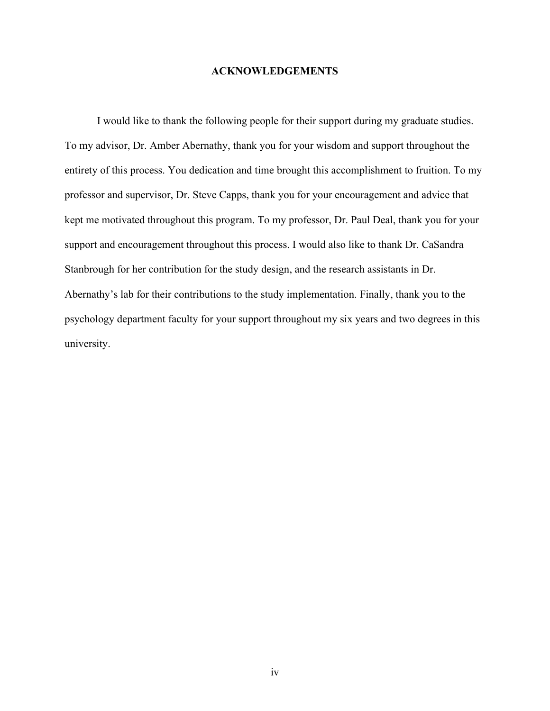#### **ACKNOWLEDGEMENTS**

I would like to thank the following people for their support during my graduate studies. To my advisor, Dr. Amber Abernathy, thank you for your wisdom and support throughout the entirety of this process. You dedication and time brought this accomplishment to fruition. To my professor and supervisor, Dr. Steve Capps, thank you for your encouragement and advice that kept me motivated throughout this program. To my professor, Dr. Paul Deal, thank you for your support and encouragement throughout this process. I would also like to thank Dr. CaSandra Stanbrough for her contribution for the study design, and the research assistants in Dr. Abernathy's lab for their contributions to the study implementation. Finally, thank you to the psychology department faculty for your support throughout my six years and two degrees in this university.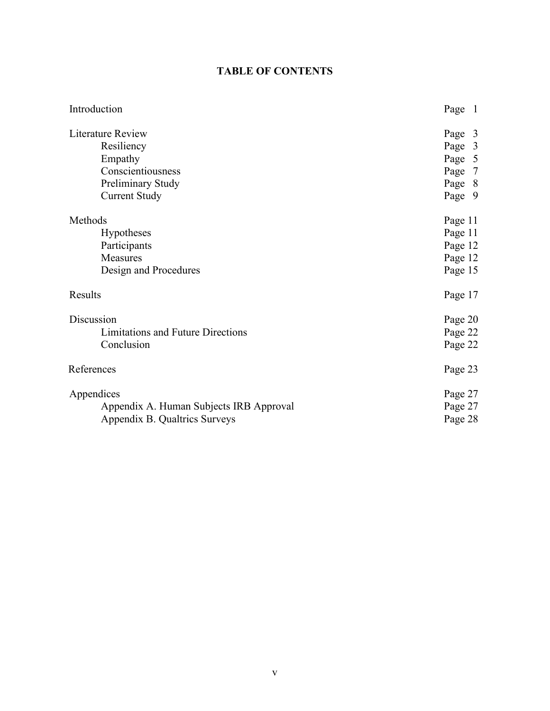# **TABLE OF CONTENTS**

| Introduction                             | Page 1  |
|------------------------------------------|---------|
| Literature Review                        | Page 3  |
| Resiliency                               | Page 3  |
| Empathy                                  | Page 5  |
| Conscientiousness                        | Page 7  |
| Preliminary Study                        | Page 8  |
| <b>Current Study</b>                     | Page 9  |
| Methods                                  | Page 11 |
| <b>Hypotheses</b>                        | Page 11 |
| Participants                             | Page 12 |
| Measures                                 | Page 12 |
| Design and Procedures                    | Page 15 |
| Results                                  | Page 17 |
| Discussion                               | Page 20 |
| <b>Limitations and Future Directions</b> | Page 22 |
| Conclusion                               | Page 22 |
| References                               | Page 23 |
| Appendices                               | Page 27 |
| Appendix A. Human Subjects IRB Approval  | Page 27 |
| Appendix B. Qualtrics Surveys            | Page 28 |
|                                          |         |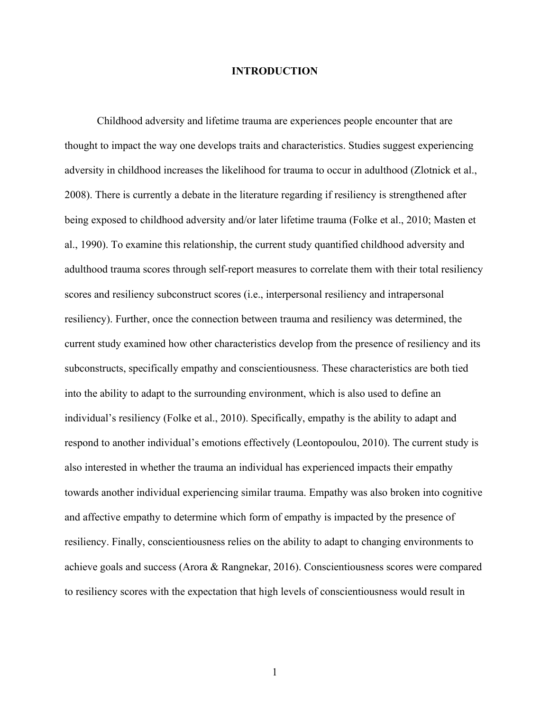#### **INTRODUCTION**

Childhood adversity and lifetime trauma are experiences people encounter that are thought to impact the way one develops traits and characteristics. Studies suggest experiencing adversity in childhood increases the likelihood for trauma to occur in adulthood (Zlotnick et al., 2008). There is currently a debate in the literature regarding if resiliency is strengthened after being exposed to childhood adversity and/or later lifetime trauma (Folke et al., 2010; Masten et al., 1990). To examine this relationship, the current study quantified childhood adversity and adulthood trauma scores through self-report measures to correlate them with their total resiliency scores and resiliency subconstruct scores (i.e., interpersonal resiliency and intrapersonal resiliency). Further, once the connection between trauma and resiliency was determined, the current study examined how other characteristics develop from the presence of resiliency and its subconstructs, specifically empathy and conscientiousness. These characteristics are both tied into the ability to adapt to the surrounding environment, which is also used to define an individual's resiliency (Folke et al., 2010). Specifically, empathy is the ability to adapt and respond to another individual's emotions effectively (Leontopoulou, 2010). The current study is also interested in whether the trauma an individual has experienced impacts their empathy towards another individual experiencing similar trauma. Empathy was also broken into cognitive and affective empathy to determine which form of empathy is impacted by the presence of resiliency. Finally, conscientiousness relies on the ability to adapt to changing environments to achieve goals and success (Arora & Rangnekar, 2016). Conscientiousness scores were compared to resiliency scores with the expectation that high levels of conscientiousness would result in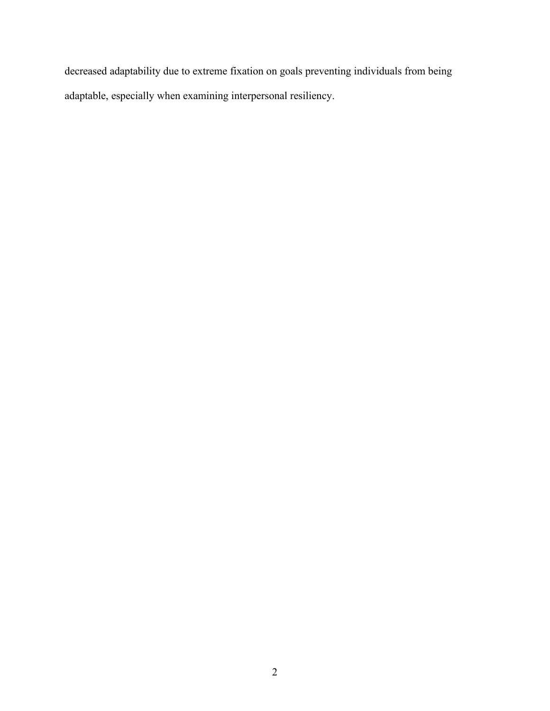decreased adaptability due to extreme fixation on goals preventing individuals from being adaptable, especially when examining interpersonal resiliency.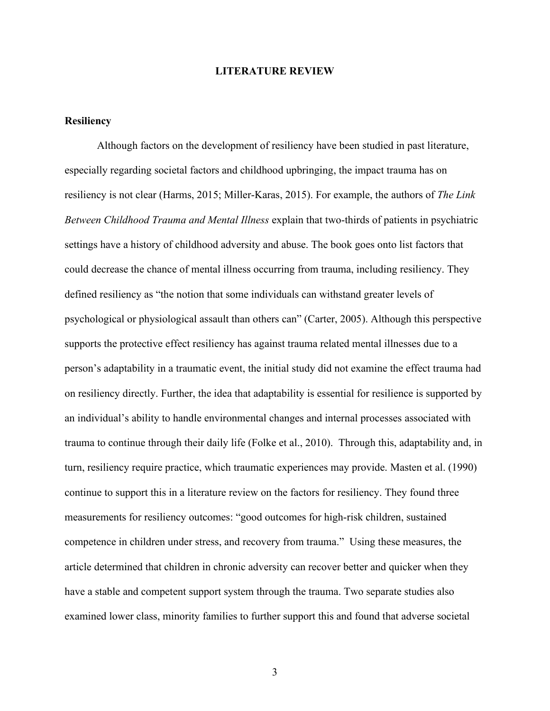#### **LITERATURE REVIEW**

#### **Resiliency**

Although factors on the development of resiliency have been studied in past literature, especially regarding societal factors and childhood upbringing, the impact trauma has on resiliency is not clear (Harms, 2015; Miller-Karas, 2015). For example, the authors of *The Link Between Childhood Trauma and Mental Illness* explain that two-thirds of patients in psychiatric settings have a history of childhood adversity and abuse. The book goes onto list factors that could decrease the chance of mental illness occurring from trauma, including resiliency. They defined resiliency as "the notion that some individuals can withstand greater levels of psychological or physiological assault than others can" (Carter, 2005). Although this perspective supports the protective effect resiliency has against trauma related mental illnesses due to a person's adaptability in a traumatic event, the initial study did not examine the effect trauma had on resiliency directly. Further, the idea that adaptability is essential for resilience is supported by an individual's ability to handle environmental changes and internal processes associated with trauma to continue through their daily life (Folke et al., 2010). Through this, adaptability and, in turn, resiliency require practice, which traumatic experiences may provide. Masten et al. (1990) continue to support this in a literature review on the factors for resiliency. They found three measurements for resiliency outcomes: "good outcomes for high-risk children, sustained competence in children under stress, and recovery from trauma." Using these measures, the article determined that children in chronic adversity can recover better and quicker when they have a stable and competent support system through the trauma. Two separate studies also examined lower class, minority families to further support this and found that adverse societal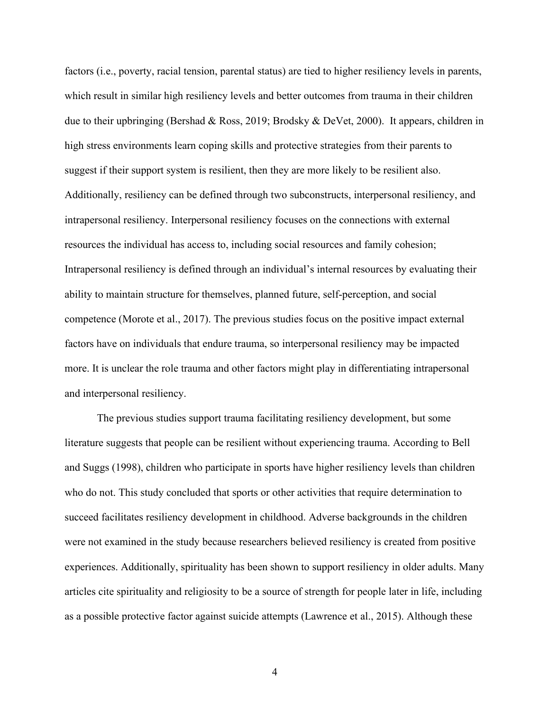factors (i.e., poverty, racial tension, parental status) are tied to higher resiliency levels in parents, which result in similar high resiliency levels and better outcomes from trauma in their children due to their upbringing (Bershad & Ross, 2019; Brodsky & DeVet, 2000). It appears, children in high stress environments learn coping skills and protective strategies from their parents to suggest if their support system is resilient, then they are more likely to be resilient also. Additionally, resiliency can be defined through two subconstructs, interpersonal resiliency, and intrapersonal resiliency. Interpersonal resiliency focuses on the connections with external resources the individual has access to, including social resources and family cohesion; Intrapersonal resiliency is defined through an individual's internal resources by evaluating their ability to maintain structure for themselves, planned future, self-perception, and social competence (Morote et al., 2017). The previous studies focus on the positive impact external factors have on individuals that endure trauma, so interpersonal resiliency may be impacted more. It is unclear the role trauma and other factors might play in differentiating intrapersonal and interpersonal resiliency.

The previous studies support trauma facilitating resiliency development, but some literature suggests that people can be resilient without experiencing trauma. According to Bell and Suggs (1998), children who participate in sports have higher resiliency levels than children who do not. This study concluded that sports or other activities that require determination to succeed facilitates resiliency development in childhood. Adverse backgrounds in the children were not examined in the study because researchers believed resiliency is created from positive experiences. Additionally, spirituality has been shown to support resiliency in older adults. Many articles cite spirituality and religiosity to be a source of strength for people later in life, including as a possible protective factor against suicide attempts (Lawrence et al., 2015). Although these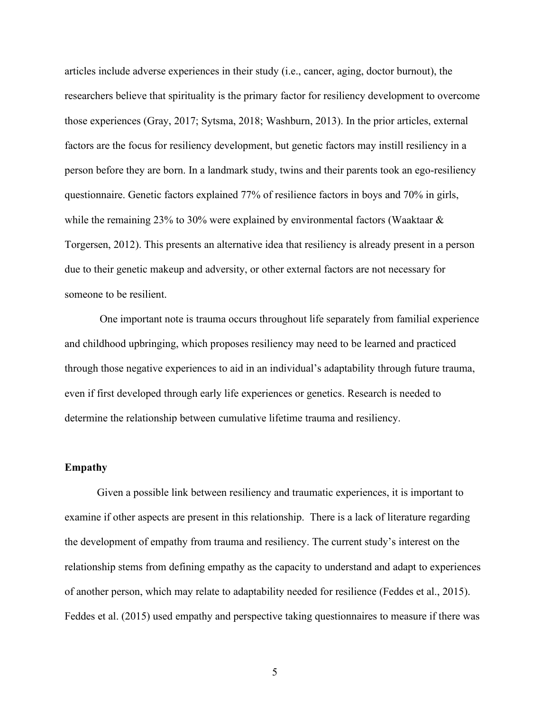articles include adverse experiences in their study (i.e., cancer, aging, doctor burnout), the researchers believe that spirituality is the primary factor for resiliency development to overcome those experiences (Gray, 2017; Sytsma, 2018; Washburn, 2013). In the prior articles, external factors are the focus for resiliency development, but genetic factors may instill resiliency in a person before they are born. In a landmark study, twins and their parents took an ego-resiliency questionnaire. Genetic factors explained 77% of resilience factors in boys and 70% in girls, while the remaining 23% to 30% were explained by environmental factors (Waaktaar  $\&$ Torgersen, 2012). This presents an alternative idea that resiliency is already present in a person due to their genetic makeup and adversity, or other external factors are not necessary for someone to be resilient.

One important note is trauma occurs throughout life separately from familial experience and childhood upbringing, which proposes resiliency may need to be learned and practiced through those negative experiences to aid in an individual's adaptability through future trauma, even if first developed through early life experiences or genetics. Research is needed to determine the relationship between cumulative lifetime trauma and resiliency.

#### **Empathy**

Given a possible link between resiliency and traumatic experiences, it is important to examine if other aspects are present in this relationship. There is a lack of literature regarding the development of empathy from trauma and resiliency. The current study's interest on the relationship stems from defining empathy as the capacity to understand and adapt to experiences of another person, which may relate to adaptability needed for resilience (Feddes et al., 2015). Feddes et al. (2015) used empathy and perspective taking questionnaires to measure if there was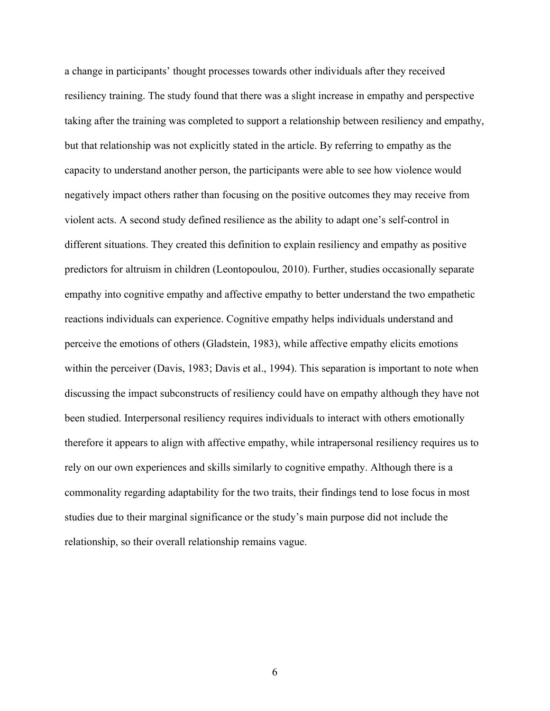a change in participants' thought processes towards other individuals after they received resiliency training. The study found that there was a slight increase in empathy and perspective taking after the training was completed to support a relationship between resiliency and empathy, but that relationship was not explicitly stated in the article. By referring to empathy as the capacity to understand another person, the participants were able to see how violence would negatively impact others rather than focusing on the positive outcomes they may receive from violent acts. A second study defined resilience as the ability to adapt one's self-control in different situations. They created this definition to explain resiliency and empathy as positive predictors for altruism in children (Leontopoulou, 2010). Further, studies occasionally separate empathy into cognitive empathy and affective empathy to better understand the two empathetic reactions individuals can experience. Cognitive empathy helps individuals understand and perceive the emotions of others (Gladstein, 1983), while affective empathy elicits emotions within the perceiver (Davis, 1983; Davis et al., 1994). This separation is important to note when discussing the impact subconstructs of resiliency could have on empathy although they have not been studied. Interpersonal resiliency requires individuals to interact with others emotionally therefore it appears to align with affective empathy, while intrapersonal resiliency requires us to rely on our own experiences and skills similarly to cognitive empathy. Although there is a commonality regarding adaptability for the two traits, their findings tend to lose focus in most studies due to their marginal significance or the study's main purpose did not include the relationship, so their overall relationship remains vague.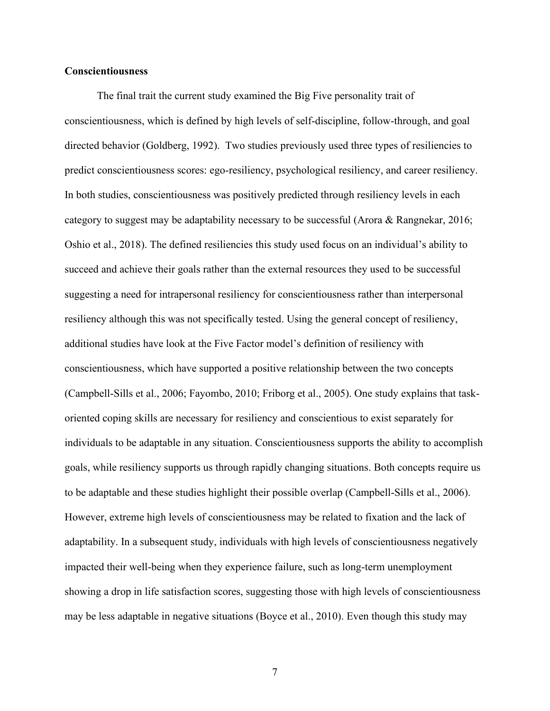#### **Conscientiousness**

The final trait the current study examined the Big Five personality trait of conscientiousness, which is defined by high levels of self-discipline, follow-through, and goal directed behavior (Goldberg, 1992). Two studies previously used three types of resiliencies to predict conscientiousness scores: ego-resiliency, psychological resiliency, and career resiliency. In both studies, conscientiousness was positively predicted through resiliency levels in each category to suggest may be adaptability necessary to be successful (Arora & Rangnekar, 2016; Oshio et al., 2018). The defined resiliencies this study used focus on an individual's ability to succeed and achieve their goals rather than the external resources they used to be successful suggesting a need for intrapersonal resiliency for conscientiousness rather than interpersonal resiliency although this was not specifically tested. Using the general concept of resiliency, additional studies have look at the Five Factor model's definition of resiliency with conscientiousness, which have supported a positive relationship between the two concepts (Campbell-Sills et al., 2006; Fayombo, 2010; Friborg et al., 2005). One study explains that taskoriented coping skills are necessary for resiliency and conscientious to exist separately for individuals to be adaptable in any situation. Conscientiousness supports the ability to accomplish goals, while resiliency supports us through rapidly changing situations. Both concepts require us to be adaptable and these studies highlight their possible overlap (Campbell-Sills et al., 2006). However, extreme high levels of conscientiousness may be related to fixation and the lack of adaptability. In a subsequent study, individuals with high levels of conscientiousness negatively impacted their well-being when they experience failure, such as long-term unemployment showing a drop in life satisfaction scores, suggesting those with high levels of conscientiousness may be less adaptable in negative situations (Boyce et al., 2010). Even though this study may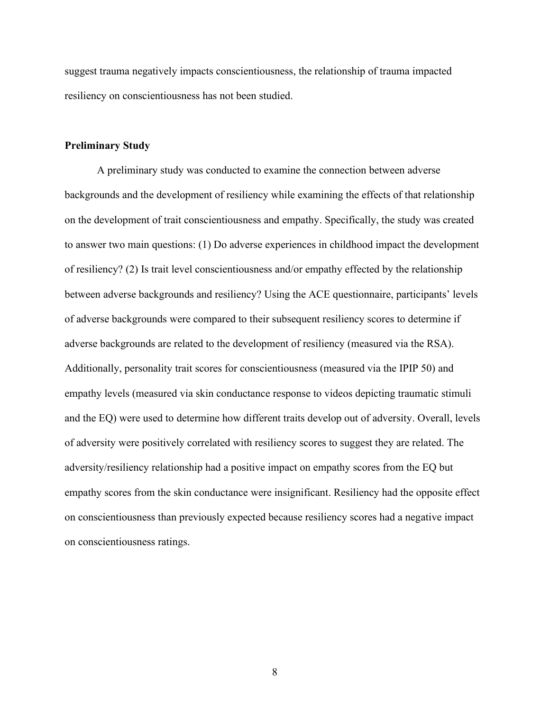suggest trauma negatively impacts conscientiousness, the relationship of trauma impacted resiliency on conscientiousness has not been studied.

#### **Preliminary Study**

A preliminary study was conducted to examine the connection between adverse backgrounds and the development of resiliency while examining the effects of that relationship on the development of trait conscientiousness and empathy. Specifically, the study was created to answer two main questions: (1) Do adverse experiences in childhood impact the development of resiliency? (2) Is trait level conscientiousness and/or empathy effected by the relationship between adverse backgrounds and resiliency? Using the ACE questionnaire, participants' levels of adverse backgrounds were compared to their subsequent resiliency scores to determine if adverse backgrounds are related to the development of resiliency (measured via the RSA). Additionally, personality trait scores for conscientiousness (measured via the IPIP 50) and empathy levels (measured via skin conductance response to videos depicting traumatic stimuli and the EQ) were used to determine how different traits develop out of adversity. Overall, levels of adversity were positively correlated with resiliency scores to suggest they are related. The adversity/resiliency relationship had a positive impact on empathy scores from the EQ but empathy scores from the skin conductance were insignificant. Resiliency had the opposite effect on conscientiousness than previously expected because resiliency scores had a negative impact on conscientiousness ratings.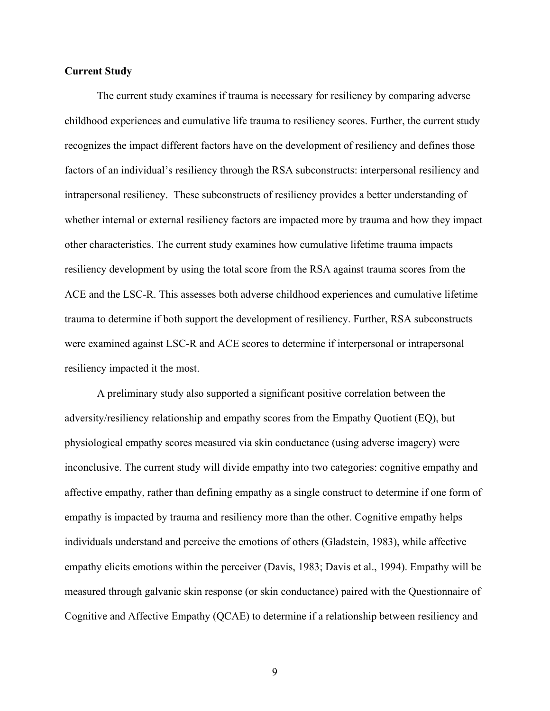#### **Current Study**

The current study examines if trauma is necessary for resiliency by comparing adverse childhood experiences and cumulative life trauma to resiliency scores. Further, the current study recognizes the impact different factors have on the development of resiliency and defines those factors of an individual's resiliency through the RSA subconstructs: interpersonal resiliency and intrapersonal resiliency. These subconstructs of resiliency provides a better understanding of whether internal or external resiliency factors are impacted more by trauma and how they impact other characteristics. The current study examines how cumulative lifetime trauma impacts resiliency development by using the total score from the RSA against trauma scores from the ACE and the LSC-R. This assesses both adverse childhood experiences and cumulative lifetime trauma to determine if both support the development of resiliency. Further, RSA subconstructs were examined against LSC-R and ACE scores to determine if interpersonal or intrapersonal resiliency impacted it the most.

A preliminary study also supported a significant positive correlation between the adversity/resiliency relationship and empathy scores from the Empathy Quotient (EQ), but physiological empathy scores measured via skin conductance (using adverse imagery) were inconclusive. The current study will divide empathy into two categories: cognitive empathy and affective empathy, rather than defining empathy as a single construct to determine if one form of empathy is impacted by trauma and resiliency more than the other. Cognitive empathy helps individuals understand and perceive the emotions of others (Gladstein, 1983), while affective empathy elicits emotions within the perceiver (Davis, 1983; Davis et al., 1994). Empathy will be measured through galvanic skin response (or skin conductance) paired with the Questionnaire of Cognitive and Affective Empathy (QCAE) to determine if a relationship between resiliency and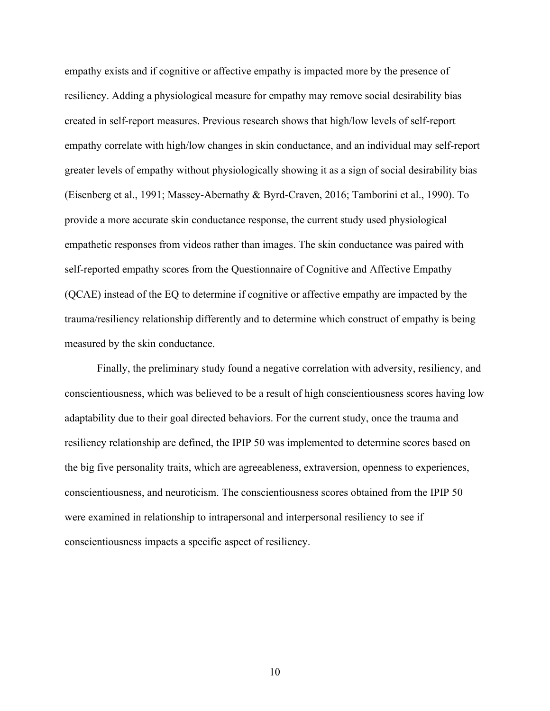empathy exists and if cognitive or affective empathy is impacted more by the presence of resiliency. Adding a physiological measure for empathy may remove social desirability bias created in self-report measures. Previous research shows that high/low levels of self-report empathy correlate with high/low changes in skin conductance, and an individual may self-report greater levels of empathy without physiologically showing it as a sign of social desirability bias (Eisenberg et al., 1991; Massey-Abernathy & Byrd-Craven, 2016; Tamborini et al., 1990). To provide a more accurate skin conductance response, the current study used physiological empathetic responses from videos rather than images. The skin conductance was paired with self-reported empathy scores from the Questionnaire of Cognitive and Affective Empathy (QCAE) instead of the EQ to determine if cognitive or affective empathy are impacted by the trauma/resiliency relationship differently and to determine which construct of empathy is being measured by the skin conductance.

Finally, the preliminary study found a negative correlation with adversity, resiliency, and conscientiousness, which was believed to be a result of high conscientiousness scores having low adaptability due to their goal directed behaviors. For the current study, once the trauma and resiliency relationship are defined, the IPIP 50 was implemented to determine scores based on the big five personality traits, which are agreeableness, extraversion, openness to experiences, conscientiousness, and neuroticism. The conscientiousness scores obtained from the IPIP 50 were examined in relationship to intrapersonal and interpersonal resiliency to see if conscientiousness impacts a specific aspect of resiliency.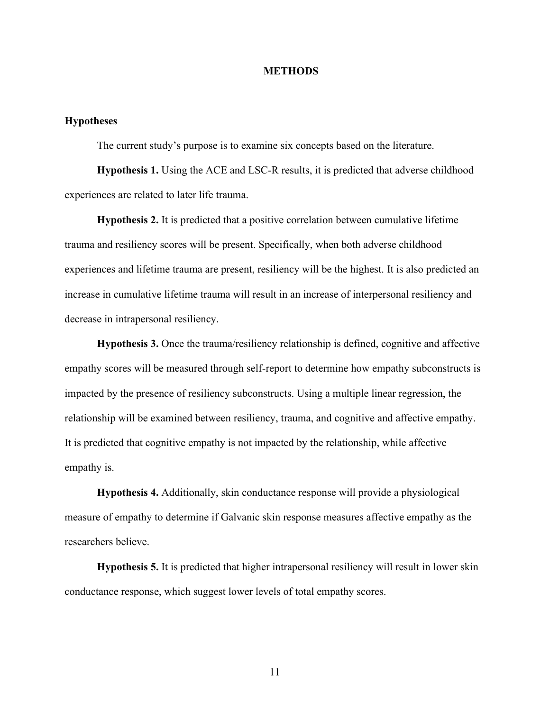#### **METHODS**

#### **Hypotheses**

The current study's purpose is to examine six concepts based on the literature.

**Hypothesis 1.** Using the ACE and LSC-R results, it is predicted that adverse childhood experiences are related to later life trauma.

**Hypothesis 2.** It is predicted that a positive correlation between cumulative lifetime trauma and resiliency scores will be present. Specifically, when both adverse childhood experiences and lifetime trauma are present, resiliency will be the highest. It is also predicted an increase in cumulative lifetime trauma will result in an increase of interpersonal resiliency and decrease in intrapersonal resiliency.

**Hypothesis 3.** Once the trauma/resiliency relationship is defined, cognitive and affective empathy scores will be measured through self-report to determine how empathy subconstructs is impacted by the presence of resiliency subconstructs. Using a multiple linear regression, the relationship will be examined between resiliency, trauma, and cognitive and affective empathy. It is predicted that cognitive empathy is not impacted by the relationship, while affective empathy is.

**Hypothesis 4.** Additionally, skin conductance response will provide a physiological measure of empathy to determine if Galvanic skin response measures affective empathy as the researchers believe.

**Hypothesis 5.** It is predicted that higher intrapersonal resiliency will result in lower skin conductance response, which suggest lower levels of total empathy scores.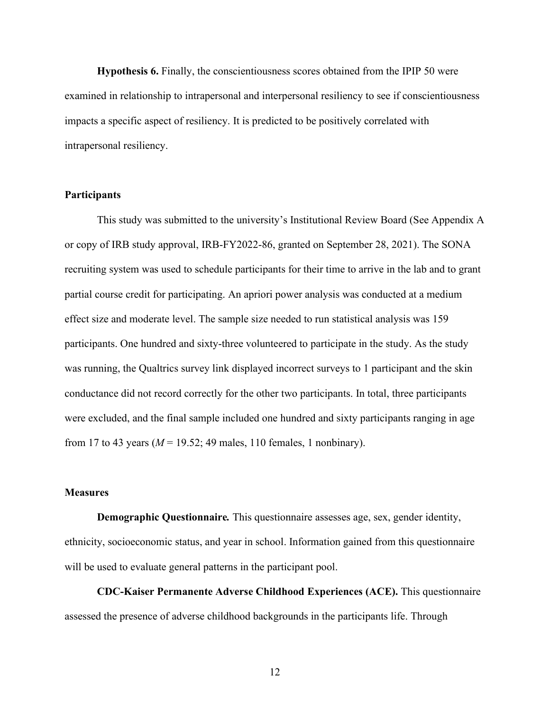**Hypothesis 6.** Finally, the conscientiousness scores obtained from the IPIP 50 were examined in relationship to intrapersonal and interpersonal resiliency to see if conscientiousness impacts a specific aspect of resiliency. It is predicted to be positively correlated with intrapersonal resiliency.

#### **Participants**

This study was submitted to the university's Institutional Review Board (See Appendix A or copy of IRB study approval, IRB-FY2022-86, granted on September 28, 2021). The SONA recruiting system was used to schedule participants for their time to arrive in the lab and to grant partial course credit for participating. An apriori power analysis was conducted at a medium effect size and moderate level. The sample size needed to run statistical analysis was 159 participants. One hundred and sixty-three volunteered to participate in the study. As the study was running, the Qualtrics survey link displayed incorrect surveys to 1 participant and the skin conductance did not record correctly for the other two participants. In total, three participants were excluded, and the final sample included one hundred and sixty participants ranging in age from 17 to 43 years ( $M = 19.52$ ; 49 males, 110 females, 1 nonbinary).

#### **Measures**

**Demographic Questionnaire***.* This questionnaire assesses age, sex, gender identity, ethnicity, socioeconomic status, and year in school. Information gained from this questionnaire will be used to evaluate general patterns in the participant pool.

**CDC-Kaiser Permanente Adverse Childhood Experiences (ACE).** This questionnaire assessed the presence of adverse childhood backgrounds in the participants life. Through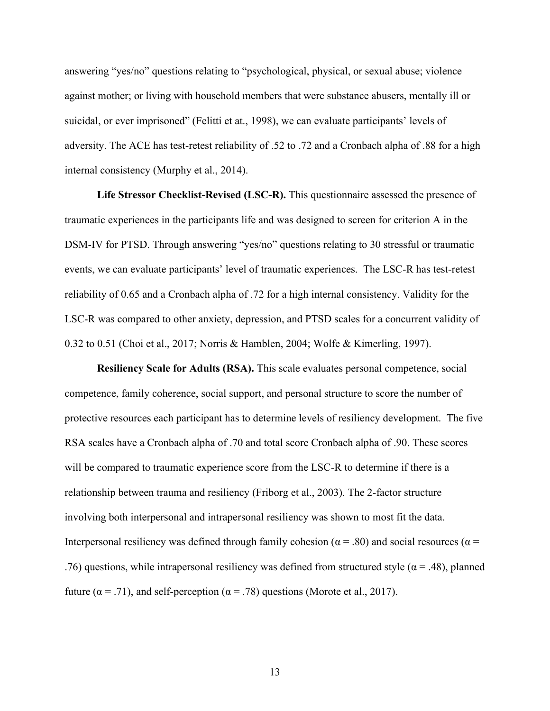answering "yes/no" questions relating to "psychological, physical, or sexual abuse; violence against mother; or living with household members that were substance abusers, mentally ill or suicidal, or ever imprisoned" (Felitti et at., 1998), we can evaluate participants' levels of adversity. The ACE has test-retest reliability of .52 to .72 and a Cronbach alpha of .88 for a high internal consistency (Murphy et al., 2014).

**Life Stressor Checklist-Revised (LSC-R).** This questionnaire assessed the presence of traumatic experiences in the participants life and was designed to screen for criterion A in the DSM-IV for PTSD. Through answering "yes/no" questions relating to 30 stressful or traumatic events, we can evaluate participants' level of traumatic experiences. The LSC-R has test-retest reliability of 0.65 and a Cronbach alpha of .72 for a high internal consistency. Validity for the LSC-R was compared to other anxiety, depression, and PTSD scales for a concurrent validity of 0.32 to 0.51 (Choi et al., 2017; Norris & Hamblen, 2004; Wolfe & Kimerling, 1997).

**Resiliency Scale for Adults (RSA).** This scale evaluates personal competence, social competence, family coherence, social support, and personal structure to score the number of protective resources each participant has to determine levels of resiliency development. The five RSA scales have a Cronbach alpha of .70 and total score Cronbach alpha of .90. These scores will be compared to traumatic experience score from the LSC-R to determine if there is a relationship between trauma and resiliency (Friborg et al., 2003). The 2-factor structure involving both interpersonal and intrapersonal resiliency was shown to most fit the data. Interpersonal resiliency was defined through family cohesion ( $\alpha$  = .80) and social resources ( $\alpha$  = .76) questions, while intrapersonal resiliency was defined from structured style ( $\alpha$  = .48), planned future ( $\alpha$  = .71), and self-perception ( $\alpha$  = .78) questions (Morote et al., 2017).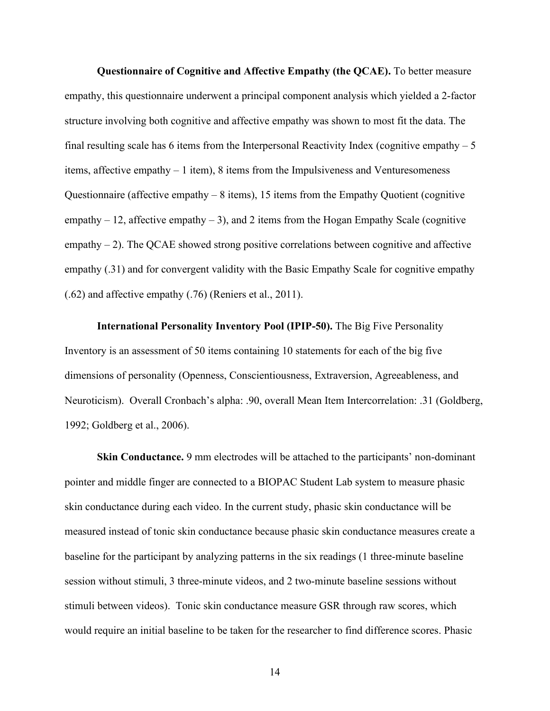**Questionnaire of Cognitive and Affective Empathy (the QCAE).** To better measure empathy, this questionnaire underwent a principal component analysis which yielded a 2-factor structure involving both cognitive and affective empathy was shown to most fit the data. The final resulting scale has 6 items from the Interpersonal Reactivity Index (cognitive empathy  $-5$ ) items, affective empathy – 1 item), 8 items from the Impulsiveness and Venturesomeness Questionnaire (affective empathy – 8 items), 15 items from the Empathy Quotient (cognitive empathy  $-12$ , affective empathy  $-3$ ), and 2 items from the Hogan Empathy Scale (cognitive empathy  $-2$ ). The QCAE showed strong positive correlations between cognitive and affective empathy (.31) and for convergent validity with the Basic Empathy Scale for cognitive empathy (.62) and affective empathy (.76) (Reniers et al., 2011).

**International Personality Inventory Pool (IPIP-50).** The Big Five Personality Inventory is an assessment of 50 items containing 10 statements for each of the big five dimensions of personality (Openness, Conscientiousness, Extraversion, Agreeableness, and Neuroticism). Overall Cronbach's alpha: .90, overall Mean Item Intercorrelation: .31 (Goldberg, 1992; Goldberg et al., 2006).

**Skin Conductance.** 9 mm electrodes will be attached to the participants' non-dominant pointer and middle finger are connected to a BIOPAC Student Lab system to measure phasic skin conductance during each video. In the current study, phasic skin conductance will be measured instead of tonic skin conductance because phasic skin conductance measures create a baseline for the participant by analyzing patterns in the six readings (1 three-minute baseline session without stimuli, 3 three-minute videos, and 2 two-minute baseline sessions without stimuli between videos). Tonic skin conductance measure GSR through raw scores, which would require an initial baseline to be taken for the researcher to find difference scores. Phasic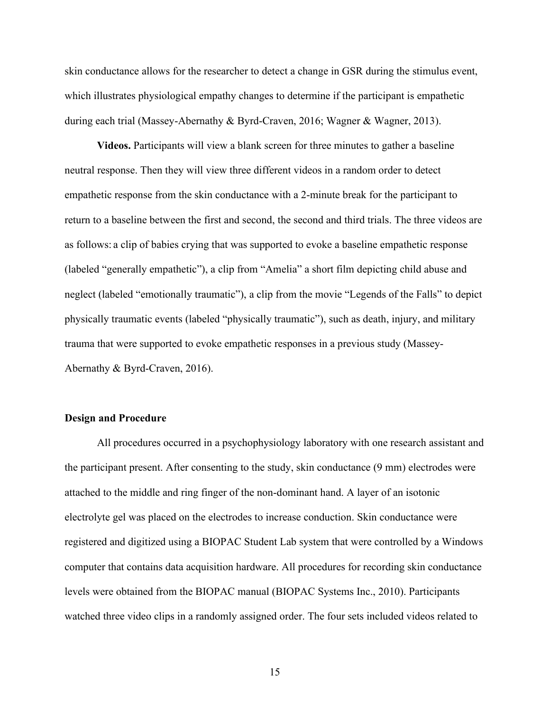skin conductance allows for the researcher to detect a change in GSR during the stimulus event, which illustrates physiological empathy changes to determine if the participant is empathetic during each trial (Massey-Abernathy & Byrd-Craven, 2016; Wagner & Wagner, 2013).

**Videos.** Participants will view a blank screen for three minutes to gather a baseline neutral response. Then they will view three different videos in a random order to detect empathetic response from the skin conductance with a 2-minute break for the participant to return to a baseline between the first and second, the second and third trials. The three videos are as follows: a clip of babies crying that was supported to evoke a baseline empathetic response (labeled "generally empathetic"), a clip from "Amelia" a short film depicting child abuse and neglect (labeled "emotionally traumatic"), a clip from the movie "Legends of the Falls" to depict physically traumatic events (labeled "physically traumatic"), such as death, injury, and military trauma that were supported to evoke empathetic responses in a previous study (Massey-Abernathy & Byrd-Craven, 2016).

#### **Design and Procedure**

All procedures occurred in a psychophysiology laboratory with one research assistant and the participant present. After consenting to the study, skin conductance (9 mm) electrodes were attached to the middle and ring finger of the non-dominant hand. A layer of an isotonic electrolyte gel was placed on the electrodes to increase conduction. Skin conductance were registered and digitized using a BIOPAC Student Lab system that were controlled by a Windows computer that contains data acquisition hardware. All procedures for recording skin conductance levels were obtained from the BIOPAC manual (BIOPAC Systems Inc., 2010). Participants watched three video clips in a randomly assigned order. The four sets included videos related to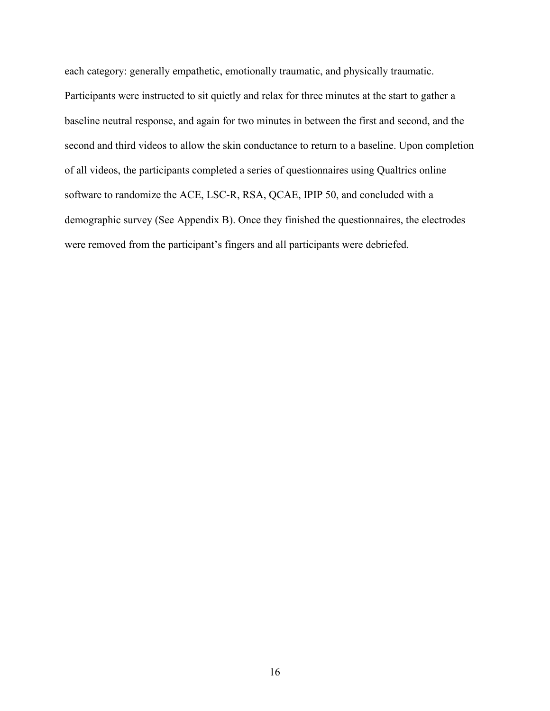each category: generally empathetic, emotionally traumatic, and physically traumatic. Participants were instructed to sit quietly and relax for three minutes at the start to gather a baseline neutral response, and again for two minutes in between the first and second, and the second and third videos to allow the skin conductance to return to a baseline. Upon completion of all videos, the participants completed a series of questionnaires using Qualtrics online software to randomize the ACE, LSC-R, RSA, QCAE, IPIP 50, and concluded with a demographic survey (See Appendix B). Once they finished the questionnaires, the electrodes were removed from the participant's fingers and all participants were debriefed.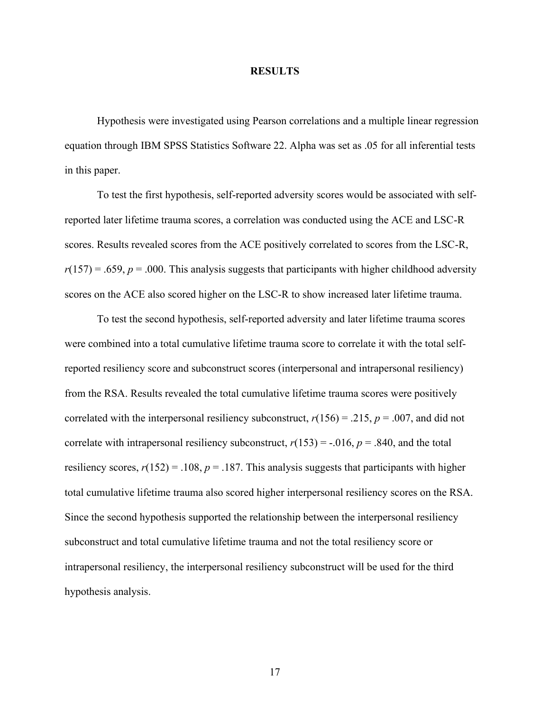#### **RESULTS**

Hypothesis were investigated using Pearson correlations and a multiple linear regression equation through IBM SPSS Statistics Software 22. Alpha was set as .05 for all inferential tests in this paper.

To test the first hypothesis, self-reported adversity scores would be associated with selfreported later lifetime trauma scores, a correlation was conducted using the ACE and LSC-R scores. Results revealed scores from the ACE positively correlated to scores from the LSC-R,  $r(157) = .659$ ,  $p = .000$ . This analysis suggests that participants with higher childhood adversity scores on the ACE also scored higher on the LSC-R to show increased later lifetime trauma.

To test the second hypothesis, self-reported adversity and later lifetime trauma scores were combined into a total cumulative lifetime trauma score to correlate it with the total selfreported resiliency score and subconstruct scores (interpersonal and intrapersonal resiliency) from the RSA. Results revealed the total cumulative lifetime trauma scores were positively correlated with the interpersonal resiliency subconstruct,  $r(156) = .215$ ,  $p = .007$ , and did not correlate with intrapersonal resiliency subconstruct,  $r(153) = -.016$ ,  $p = .840$ , and the total resiliency scores,  $r(152) = .108$ ,  $p = .187$ . This analysis suggests that participants with higher total cumulative lifetime trauma also scored higher interpersonal resiliency scores on the RSA. Since the second hypothesis supported the relationship between the interpersonal resiliency subconstruct and total cumulative lifetime trauma and not the total resiliency score or intrapersonal resiliency, the interpersonal resiliency subconstruct will be used for the third hypothesis analysis.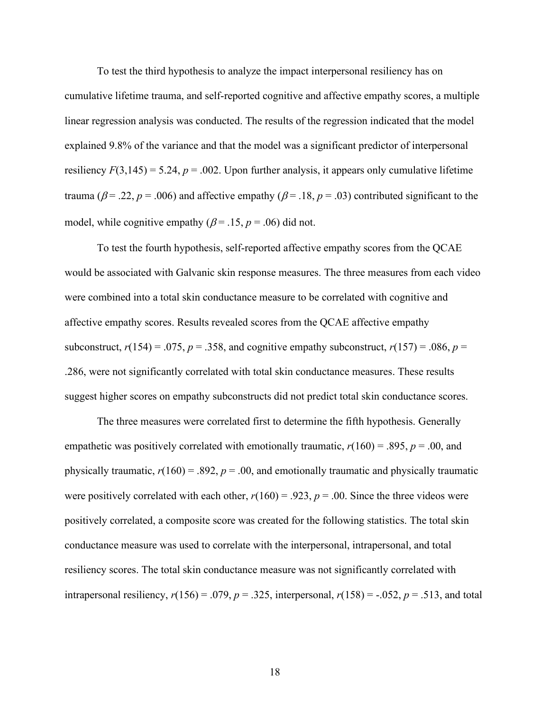To test the third hypothesis to analyze the impact interpersonal resiliency has on cumulative lifetime trauma, and self-reported cognitive and affective empathy scores, a multiple linear regression analysis was conducted. The results of the regression indicated that the model explained 9.8% of the variance and that the model was a significant predictor of interpersonal resiliency  $F(3,145) = 5.24$ ,  $p = .002$ . Upon further analysis, it appears only cumulative lifetime trauma ( $\beta$ = .22,  $p$  = .006) and affective empathy ( $\beta$ = .18,  $p$  = .03) contributed significant to the model, while cognitive empathy ( $\beta$  = .15,  $p$  = .06) did not.

To test the fourth hypothesis, self-reported affective empathy scores from the QCAE would be associated with Galvanic skin response measures. The three measures from each video were combined into a total skin conductance measure to be correlated with cognitive and affective empathy scores. Results revealed scores from the QCAE affective empathy subconstruct,  $r(154) = .075$ ,  $p = .358$ , and cognitive empathy subconstruct,  $r(157) = .086$ ,  $p =$ .286, were not significantly correlated with total skin conductance measures. These results suggest higher scores on empathy subconstructs did not predict total skin conductance scores.

The three measures were correlated first to determine the fifth hypothesis. Generally empathetic was positively correlated with emotionally traumatic,  $r(160) = .895$ ,  $p = .00$ , and physically traumatic,  $r(160) = .892$ ,  $p = .00$ , and emotionally traumatic and physically traumatic were positively correlated with each other,  $r(160) = .923$ ,  $p = .00$ . Since the three videos were positively correlated, a composite score was created for the following statistics. The total skin conductance measure was used to correlate with the interpersonal, intrapersonal, and total resiliency scores. The total skin conductance measure was not significantly correlated with intrapersonal resiliency,  $r(156) = .079$ ,  $p = .325$ , interpersonal,  $r(158) = -.052$ ,  $p = .513$ , and total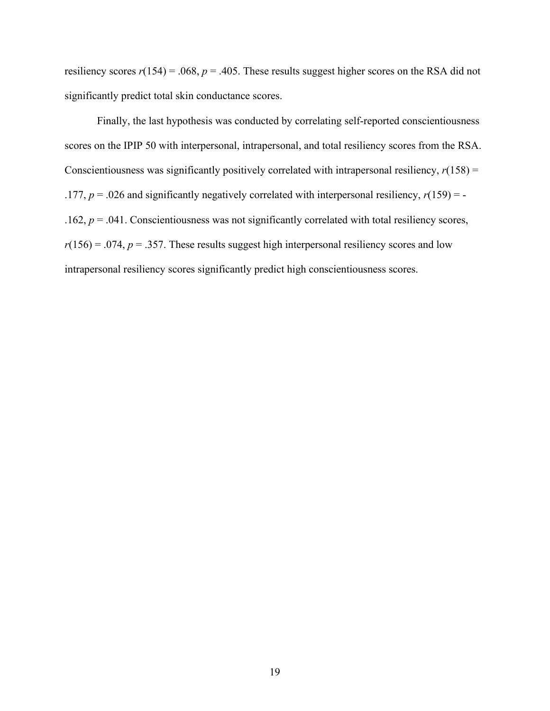resiliency scores  $r(154) = .068$ ,  $p = .405$ . These results suggest higher scores on the RSA did not significantly predict total skin conductance scores.

Finally, the last hypothesis was conducted by correlating self-reported conscientiousness scores on the IPIP 50 with interpersonal, intrapersonal, and total resiliency scores from the RSA. Conscientiousness was significantly positively correlated with intrapersonal resiliency,  $r(158)$  = .177,  $p = 0.026$  and significantly negatively correlated with interpersonal resiliency,  $r(159) = -$ .162, *p* = .041. Conscientiousness was not significantly correlated with total resiliency scores,  $r(156) = .074$ ,  $p = .357$ . These results suggest high interpersonal resiliency scores and low intrapersonal resiliency scores significantly predict high conscientiousness scores.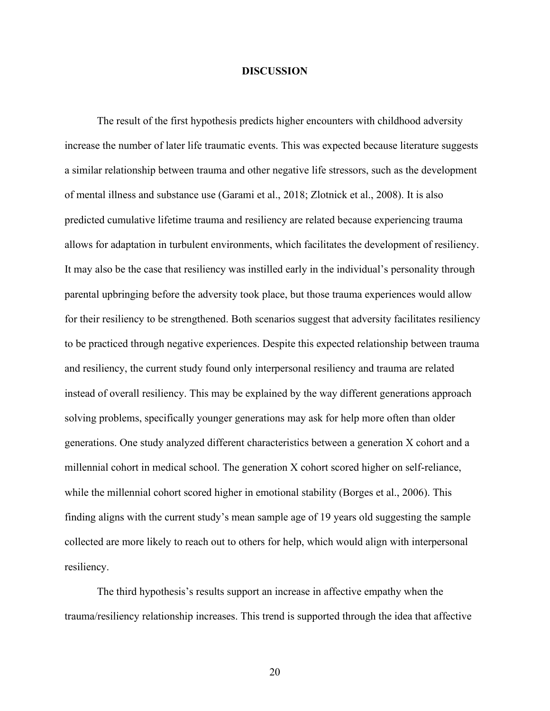#### **DISCUSSION**

The result of the first hypothesis predicts higher encounters with childhood adversity increase the number of later life traumatic events. This was expected because literature suggests a similar relationship between trauma and other negative life stressors, such as the development of mental illness and substance use (Garami et al., 2018; Zlotnick et al., 2008). It is also predicted cumulative lifetime trauma and resiliency are related because experiencing trauma allows for adaptation in turbulent environments, which facilitates the development of resiliency. It may also be the case that resiliency was instilled early in the individual's personality through parental upbringing before the adversity took place, but those trauma experiences would allow for their resiliency to be strengthened. Both scenarios suggest that adversity facilitates resiliency to be practiced through negative experiences. Despite this expected relationship between trauma and resiliency, the current study found only interpersonal resiliency and trauma are related instead of overall resiliency. This may be explained by the way different generations approach solving problems, specifically younger generations may ask for help more often than older generations. One study analyzed different characteristics between a generation X cohort and a millennial cohort in medical school. The generation X cohort scored higher on self-reliance, while the millennial cohort scored higher in emotional stability (Borges et al., 2006). This finding aligns with the current study's mean sample age of 19 years old suggesting the sample collected are more likely to reach out to others for help, which would align with interpersonal resiliency.

The third hypothesis's results support an increase in affective empathy when the trauma/resiliency relationship increases. This trend is supported through the idea that affective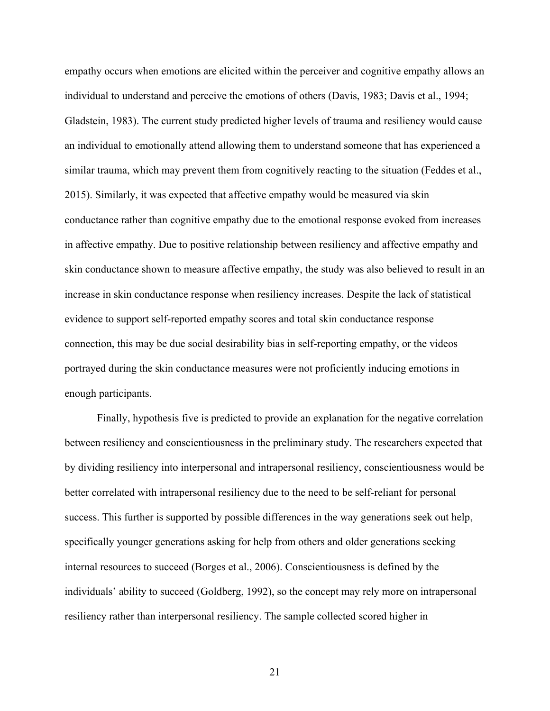empathy occurs when emotions are elicited within the perceiver and cognitive empathy allows an individual to understand and perceive the emotions of others (Davis, 1983; Davis et al., 1994; Gladstein, 1983). The current study predicted higher levels of trauma and resiliency would cause an individual to emotionally attend allowing them to understand someone that has experienced a similar trauma, which may prevent them from cognitively reacting to the situation (Feddes et al., 2015). Similarly, it was expected that affective empathy would be measured via skin conductance rather than cognitive empathy due to the emotional response evoked from increases in affective empathy. Due to positive relationship between resiliency and affective empathy and skin conductance shown to measure affective empathy, the study was also believed to result in an increase in skin conductance response when resiliency increases. Despite the lack of statistical evidence to support self-reported empathy scores and total skin conductance response connection, this may be due social desirability bias in self-reporting empathy, or the videos portrayed during the skin conductance measures were not proficiently inducing emotions in enough participants.

Finally, hypothesis five is predicted to provide an explanation for the negative correlation between resiliency and conscientiousness in the preliminary study. The researchers expected that by dividing resiliency into interpersonal and intrapersonal resiliency, conscientiousness would be better correlated with intrapersonal resiliency due to the need to be self-reliant for personal success. This further is supported by possible differences in the way generations seek out help, specifically younger generations asking for help from others and older generations seeking internal resources to succeed (Borges et al., 2006). Conscientiousness is defined by the individuals' ability to succeed (Goldberg, 1992), so the concept may rely more on intrapersonal resiliency rather than interpersonal resiliency. The sample collected scored higher in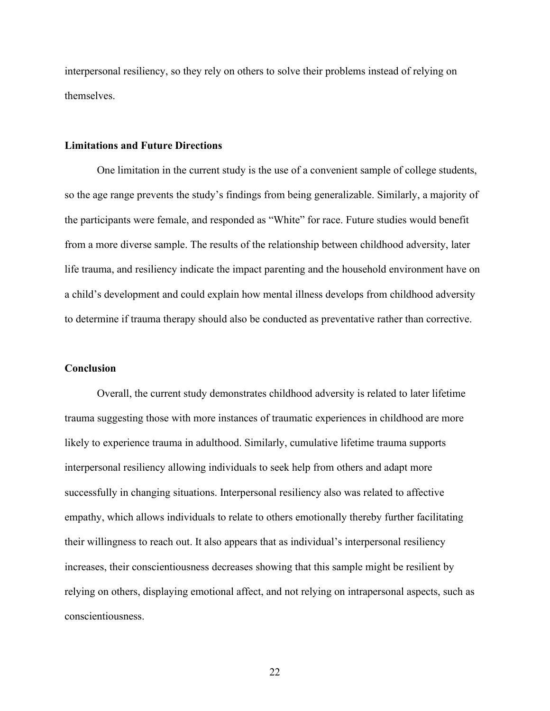interpersonal resiliency, so they rely on others to solve their problems instead of relying on themselves.

#### **Limitations and Future Directions**

One limitation in the current study is the use of a convenient sample of college students, so the age range prevents the study's findings from being generalizable. Similarly, a majority of the participants were female, and responded as "White" for race. Future studies would benefit from a more diverse sample. The results of the relationship between childhood adversity, later life trauma, and resiliency indicate the impact parenting and the household environment have on a child's development and could explain how mental illness develops from childhood adversity to determine if trauma therapy should also be conducted as preventative rather than corrective.

#### **Conclusion**

Overall, the current study demonstrates childhood adversity is related to later lifetime trauma suggesting those with more instances of traumatic experiences in childhood are more likely to experience trauma in adulthood. Similarly, cumulative lifetime trauma supports interpersonal resiliency allowing individuals to seek help from others and adapt more successfully in changing situations. Interpersonal resiliency also was related to affective empathy, which allows individuals to relate to others emotionally thereby further facilitating their willingness to reach out. It also appears that as individual's interpersonal resiliency increases, their conscientiousness decreases showing that this sample might be resilient by relying on others, displaying emotional affect, and not relying on intrapersonal aspects, such as conscientiousness.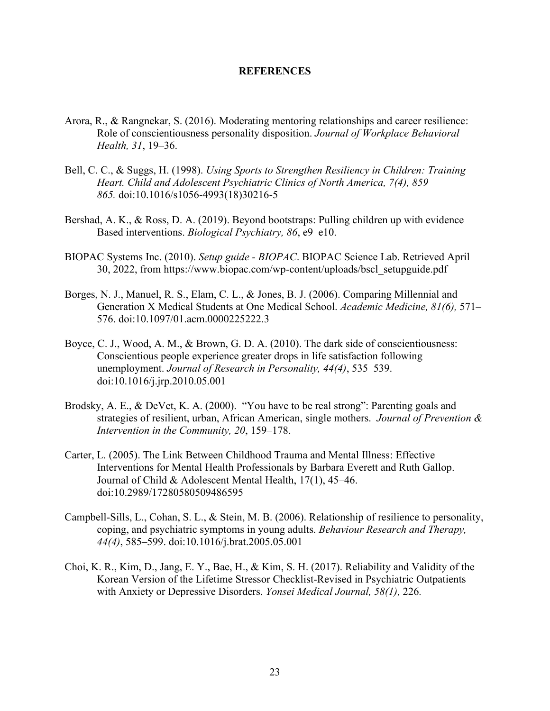#### **REFERENCES**

- Arora, R., & Rangnekar, S. (2016). Moderating mentoring relationships and career resilience: Role of conscientiousness personality disposition. *Journal of Workplace Behavioral Health, 31*, 19–36.
- Bell, C. C., & Suggs, H. (1998). *Using Sports to Strengthen Resiliency in Children: Training Heart. Child and Adolescent Psychiatric Clinics of North America, 7(4), 859 865.* doi:10.1016/s1056-4993(18)30216-5
- Bershad, A. K., & Ross, D. A. (2019). Beyond bootstraps: Pulling children up with evidence Based interventions. *Biological Psychiatry, 86*, e9–e10.
- BIOPAC Systems Inc. (2010). *Setup guide - BIOPAC*. BIOPAC Science Lab. Retrieved April 30, 2022, from [https://www.biopac.com/wp-content/uploads/bscl\\_setupguide.pdf](https://www.biopac.com/wp-content/uploads/bscl_setupguide.pdf)
- Borges, N. J., Manuel, R. S., Elam, C. L., & Jones, B. J. (2006). Comparing Millennial and Generation X Medical Students at One Medical School. *Academic Medicine, 81(6),* 571– 576. doi:10.1097/01.acm.0000225222.3
- Boyce, C. J., Wood, A. M., & Brown, G. D. A. (2010). The dark side of conscientiousness: Conscientious people experience greater drops in life satisfaction following unemployment. *Journal of Research in Personality, 44(4)*, 535–539. doi:10.1016/j.jrp.2010.05.001
- Brodsky, A. E., & DeVet, K. A. (2000). "You have to be real strong": Parenting goals and strategies of resilient, urban, African American, single mothers. *Journal of Prevention & Intervention in the Community, 20*, 159–178.
- Carter, L. (2005). The Link Between Childhood Trauma and Mental Illness: Effective Interventions for Mental Health Professionals by Barbara Everett and Ruth Gallop. Journal of Child & Adolescent Mental Health, 17(1), 45–46. doi:10.2989/17280580509486595
- Campbell-Sills, L., Cohan, S. L., & Stein, M. B. (2006). Relationship of resilience to personality, coping, and psychiatric symptoms in young adults. *Behaviour Research and Therapy, 44(4)*, 585–599. doi:10.1016/j.brat.2005.05.001
- Choi, K. R., Kim, D., Jang, E. Y., Bae, H., & Kim, S. H. (2017). Reliability and Validity of the Korean Version of the Lifetime Stressor Checklist-Revised in Psychiatric Outpatients with Anxiety or Depressive Disorders. *Yonsei Medical Journal, 58(1),* 226*.*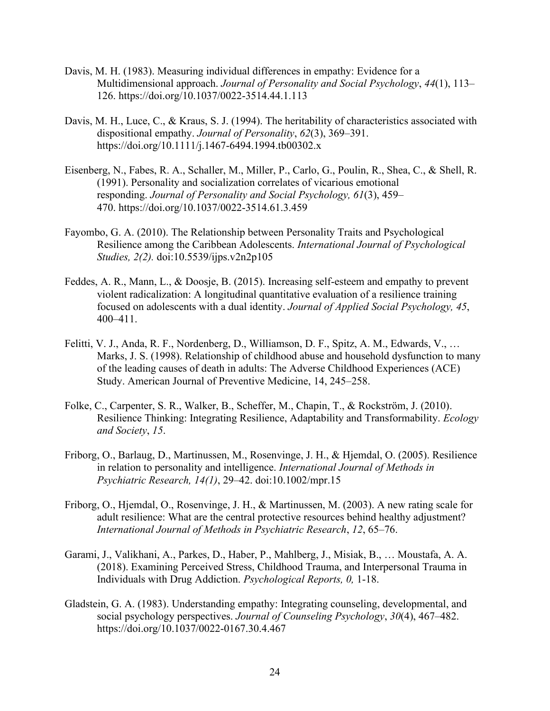- Davis, M. H. (1983). Measuring individual differences in empathy: Evidence for a Multidimensional approach. *Journal of Personality and Social Psychology*, *44*(1), 113– 126.<https://doi.org/10.1037/0022-3514.44.1.113>
- Davis, M. H., Luce, C., & Kraus, S. J. (1994). The heritability of characteristics associated with dispositional empathy. *Journal of Personality*, *62*(3), 369–391. <https://doi.org/10.1111/j.1467-6494.1994.tb00302.x>
- Eisenberg, N., Fabes, R. A., Schaller, M., Miller, P., Carlo, G., Poulin, R., Shea, C., & Shell, R. (1991). Personality and socialization correlates of vicarious emotional responding. *Journal of Personality and Social Psychology, 61*(3), 459– 470. <https://doi.org/10.1037/0022-3514.61.3.459>
- Fayombo, G. A. (2010). The Relationship between Personality Traits and Psychological Resilience among the Caribbean Adolescents. *International Journal of Psychological Studies, 2(2).* doi:10.5539/ijps.v2n2p105
- Feddes, A. R., Mann, L., & Doosje, B. (2015). Increasing self‐esteem and empathy to prevent violent radicalization: A longitudinal quantitative evaluation of a resilience training focused on adolescents with a dual identity. *Journal of Applied Social Psychology, 45*, 400–411.
- Felitti, V. J., Anda, R. F., Nordenberg, D., Williamson, D. F., Spitz, A. M., Edwards, V., … Marks, J. S. (1998). Relationship of childhood abuse and household dysfunction to many of the leading causes of death in adults: The Adverse Childhood Experiences (ACE) Study. American Journal of Preventive Medicine, 14, 245–258.
- Folke, C., Carpenter, S. R., Walker, B., Scheffer, M., Chapin, T., & Rockström, J. (2010). Resilience Thinking: Integrating Resilience, Adaptability and Transformability. *Ecology and Society*, *15*.
- Friborg, O., Barlaug, D., Martinussen, M., Rosenvinge, J. H., & Hjemdal, O. (2005). Resilience in relation to personality and intelligence. *International Journal of Methods in Psychiatric Research, 14(1)*, 29–42. doi:10.1002/mpr.15
- Friborg, O., Hjemdal, O., Rosenvinge, J. H., & Martinussen, M. (2003). A new rating scale for adult resilience: What are the central protective resources behind healthy adjustment? *International Journal of Methods in Psychiatric Research*, *12*, 65–76.
- Garami, J., Valikhani, A., Parkes, D., Haber, P., Mahlberg, J., Misiak, B., … Moustafa, A. A. (2018). Examining Perceived Stress, Childhood Trauma, and Interpersonal Trauma in Individuals with Drug Addiction. *Psychological Reports, 0,* 1-18.
- Gladstein, G. A. (1983). Understanding empathy: Integrating counseling, developmental, and social psychology perspectives. *Journal of Counseling Psychology*, *30*(4), 467–482. <https://doi.org/10.1037/0022-0167.30.4.467>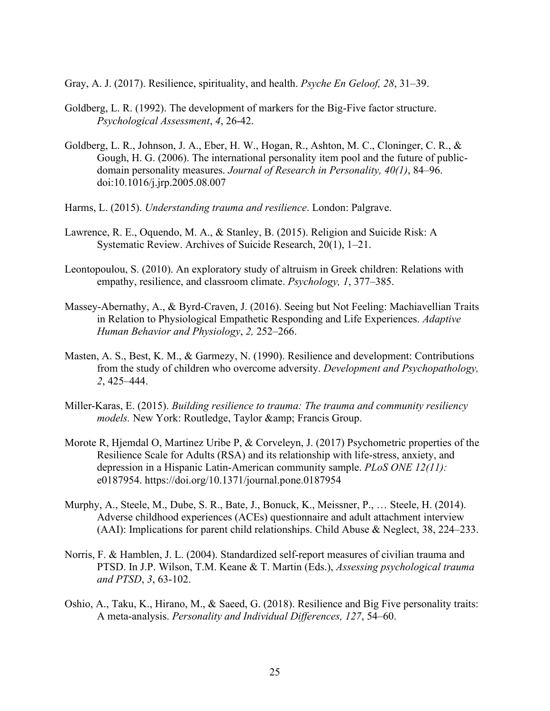Gray, A. J. (2017). Resilience, spirituality, and health. *Psyche En Geloof, 28*, 31–39.

- Goldberg, L. R. (1992). The development of markers for the Big-Five factor structure. *Psychological Assessment*, *4*, 26-42.
- Goldberg, L. R., Johnson, J. A., Eber, H. W., Hogan, R., Ashton, M. C., Cloninger, C. R., & Gough, H. G. (2006). The international personality item pool and the future of publicdomain personality measures. *Journal of Research in Personality, 40(1)*, 84–96. doi:10.1016/j.jrp.2005.08.007
- Harms, L. (2015). *Understanding trauma and resilience*. London: Palgrave.
- Lawrence, R. E., Oquendo, M. A., & Stanley, B. (2015). Religion and Suicide Risk: A Systematic Review. Archives of Suicide Research, 20(1), 1–21.
- Leontopoulou, S. (2010). An exploratory study of altruism in Greek children: Relations with empathy, resilience, and classroom climate. *Psychology, 1*, 377–385.
- Massey-Abernathy, A., & Byrd-Craven, J. (2016). Seeing but Not Feeling: Machiavellian Traits in Relation to Physiological Empathetic Responding and Life Experiences. *Adaptive Human Behavior and Physiology*, *2,* 252–266.
- Masten, A. S., Best, K. M., & Garmezy, N. (1990). Resilience and development: Contributions from the study of children who overcome adversity. *Development and Psychopathology, 2*, 425–444.
- Miller-Karas, E. (2015). *Building resilience to trauma: The trauma and community resiliency models.* New York: Routledge, Taylor & amp; Francis Group.
- Morote R, Hjemdal O, Martinez Uribe P, & Corveleyn, J. (2017) Psychometric properties of the Resilience Scale for Adults (RSA) and its relationship with life-stress, anxiety, and depression in a Hispanic Latin-American community sample. *PLoS ONE 12(11):* e0187954. https://doi.org/10.1371/journal.pone.0187954
- Murphy, A., Steele, M., Dube, S. R., Bate, J., Bonuck, K., Meissner, P., … Steele, H. (2014). Adverse childhood experiences (ACEs) questionnaire and adult attachment interview (AAI): Implications for parent child relationships. Child Abuse & Neglect, 38, 224–233.
- Norris, F. & Hamblen, J. L. (2004). Standardized self-report measures of civilian trauma and PTSD. In J.P. Wilson, T.M. Keane & T. Martin (Eds.), *Assessing psychological trauma and PTSD*, *3*, 63-102.
- Oshio, A., Taku, K., Hirano, M., & Saeed, G. (2018). Resilience and Big Five personality traits: A meta-analysis. *Personality and Individual Differences, 127*, 54–60.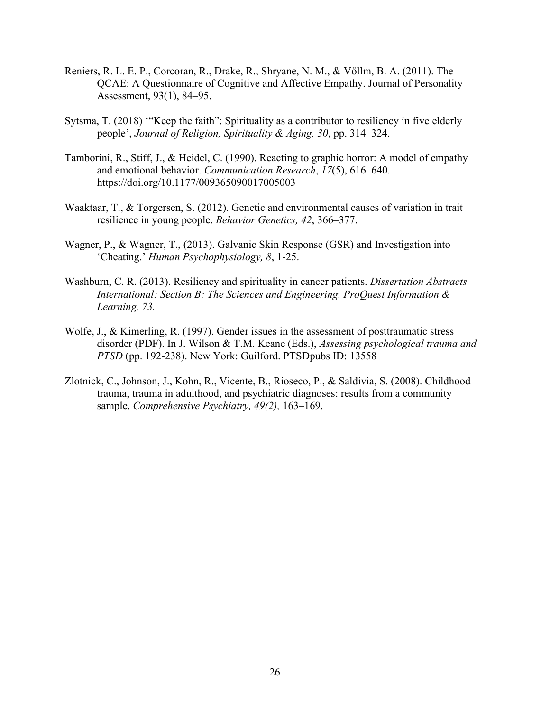- Reniers, R. L. E. P., Corcoran, R., Drake, R., Shryane, N. M., & Völlm, B. A. (2011). The QCAE: A Questionnaire of Cognitive and Affective Empathy. Journal of Personality Assessment, 93(1), 84–95.
- Sytsma, T. (2018) '"Keep the faith": Spirituality as a contributor to resiliency in five elderly people', *Journal of Religion, Spirituality & Aging, 30*, pp. 314–324.
- Tamborini, R., Stiff, J., & Heidel, C. (1990). Reacting to graphic horror: A model of empathy and emotional behavior. *Communication Research*, *17*(5), 616–640. <https://doi.org/10.1177/009365090017005003>
- Waaktaar, T., & Torgersen, S. (2012). Genetic and environmental causes of variation in trait resilience in young people. *Behavior Genetics, 42*, 366–377.
- Wagner, P., & Wagner, T., (2013). Galvanic Skin Response (GSR) and Investigation into 'Cheating.' *Human Psychophysiology, 8*, 1-25.
- Washburn, C. R. (2013). Resiliency and spirituality in cancer patients. *Dissertation Abstracts International: Section B: The Sciences and Engineering. ProQuest Information & Learning, 73.*
- Wolfe, J., & Kimerling, R. (1997). Gender issues in the assessment of posttraumatic stress disorder (PDF). In J. Wilson & T.M. Keane (Eds.), *Assessing psychological trauma and PTSD* (pp. 192-238). New York: Guilford. PTSDpubs ID: 13558
- Zlotnick, C., Johnson, J., Kohn, R., Vicente, B., Rioseco, P., & Saldivia, S. (2008). Childhood trauma, trauma in adulthood, and psychiatric diagnoses: results from a community sample. *Comprehensive Psychiatry, 49(2),* 163–169.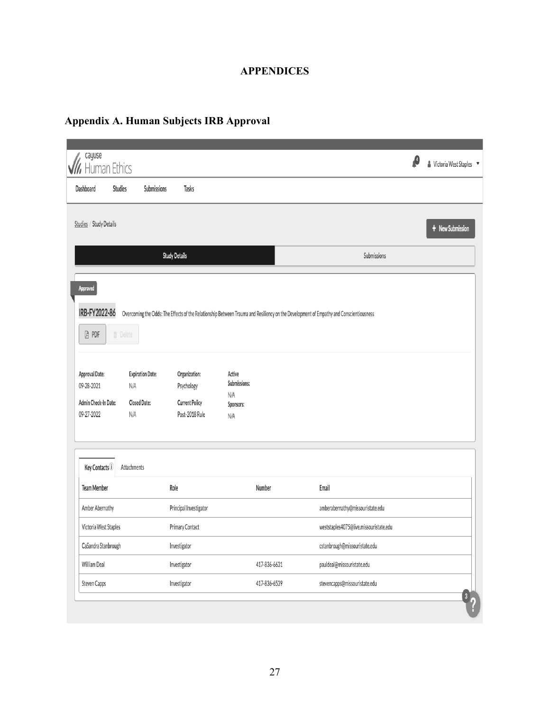# **APPENDICES**

# **Appendix A. Human Subjects IRB Approval**

| cayuse<br>luman Ethics                                                          |                                   |                                                       |                                         |                                                                                                                                        | ß | & Victoria West Staples ▼ |
|---------------------------------------------------------------------------------|-----------------------------------|-------------------------------------------------------|-----------------------------------------|----------------------------------------------------------------------------------------------------------------------------------------|---|---------------------------|
| Dashboard<br>Studies                                                            | Submissions                       | Tasks                                                 |                                         |                                                                                                                                        |   |                           |
| Studies / Study Details                                                         |                                   |                                                       |                                         |                                                                                                                                        |   | + New Submission          |
|                                                                                 |                                   | <b>Study Details</b>                                  |                                         | Submissions                                                                                                                            |   |                           |
| Approved<br>IRB-FY2022-86<br><b>A</b> PDF                                       | <b><i>fi</i></b> Delete           |                                                       |                                         | Overcoming the Odds: The Effects of the Relationship Between Trauma and Resiliency on the Development of Empathy and Conscientiousness |   |                           |
| Approval Date:                                                                  | <b>Expiration Date:</b>           | Organization:                                         | Active                                  |                                                                                                                                        |   |                           |
|                                                                                 | N/A<br><b>Closed Date:</b><br>N/A | Psychology<br><b>Current Policy</b><br>Post-2018 Rule | Submissions:<br>N/A<br>Sponsors:<br>N/A |                                                                                                                                        |   |                           |
| 09-28-2021<br>Admin Check-In Date:<br>09-27-2022<br>Key Contacts <sup>(i)</sup> | Attachments                       |                                                       |                                         |                                                                                                                                        |   |                           |
| <b>Team Member</b>                                                              |                                   | Role                                                  | Number                                  | Email                                                                                                                                  |   |                           |
| Amber Abernathy                                                                 |                                   | Principal Investigator                                |                                         | amberabernathy@missouristate.edu                                                                                                       |   |                           |
| Victoria West Staples                                                           |                                   | Primary Contact                                       |                                         | weststaples4075@live.missouristate.edu                                                                                                 |   |                           |
| CaSandra Stanbrough                                                             |                                   | Investigator                                          |                                         | cstanbrough@missouristate.edu                                                                                                          |   |                           |
| William Deal                                                                    |                                   | Investigator                                          | 417-836-6631                            | pauldeal@missouristate.edu                                                                                                             |   |                           |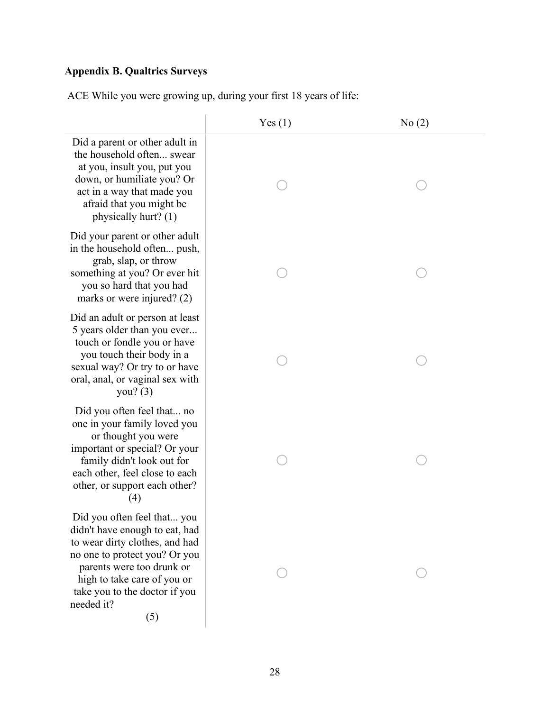# **Appendix B. Qualtrics Surveys**

ACE While you were growing up, during your first 18 years of life:

|                                                                                                                                                                                                                                                    | Yes(1) | No(2) |
|----------------------------------------------------------------------------------------------------------------------------------------------------------------------------------------------------------------------------------------------------|--------|-------|
| Did a parent or other adult in<br>the household often swear<br>at you, insult you, put you<br>down, or humiliate you? Or<br>act in a way that made you<br>afraid that you might be<br>physically hurt? (1)                                         |        |       |
| Did your parent or other adult<br>in the household often push,<br>grab, slap, or throw<br>something at you? Or ever hit<br>you so hard that you had<br>marks or were injured? $(2)$                                                                |        |       |
| Did an adult or person at least<br>5 years older than you ever<br>touch or fondle you or have<br>you touch their body in a<br>sexual way? Or try to or have<br>oral, anal, or vaginal sex with<br>you? $(3)$                                       |        |       |
| Did you often feel that no<br>one in your family loved you<br>or thought you were<br>important or special? Or your<br>family didn't look out for<br>each other, feel close to each<br>other, or support each other?<br>(4)                         |        |       |
| Did you often feel that you<br>didn't have enough to eat, had<br>to wear dirty clothes, and had<br>no one to protect you? Or you<br>parents were too drunk or<br>high to take care of you or<br>take you to the doctor if you<br>needed it?<br>(5) |        |       |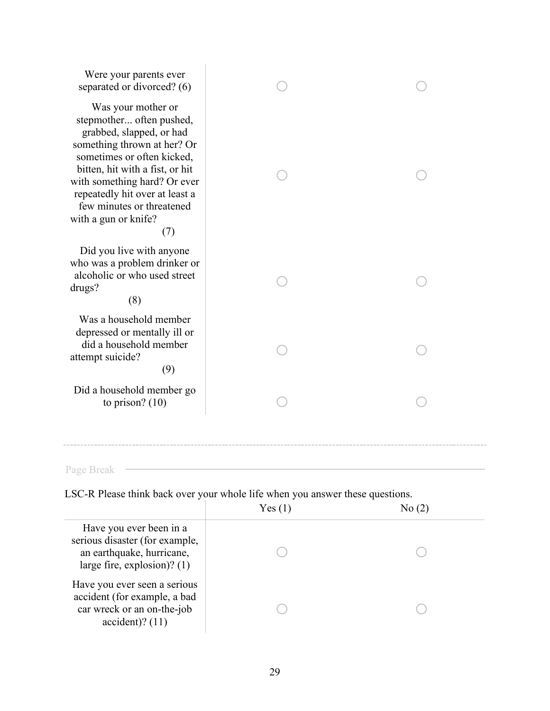| Were your parents ever<br>separated or divorced? (6)                                                                                                                                                                                                                                                     |  |
|----------------------------------------------------------------------------------------------------------------------------------------------------------------------------------------------------------------------------------------------------------------------------------------------------------|--|
| Was your mother or<br>stepmother often pushed,<br>grabbed, slapped, or had<br>something thrown at her? Or<br>sometimes or often kicked,<br>bitten, hit with a fist, or hit<br>with something hard? Or ever<br>repeatedly hit over at least a<br>few minutes or threatened<br>with a gun or knife?<br>(7) |  |
| Did you live with anyone<br>who was a problem drinker or<br>alcoholic or who used street<br>drugs?<br>(8)                                                                                                                                                                                                |  |
| Was a household member<br>depressed or mentally ill or<br>did a household member<br>attempt suicide?<br>(9)                                                                                                                                                                                              |  |
| Did a household member go<br>to prison? $(10)$                                                                                                                                                                                                                                                           |  |
|                                                                                                                                                                                                                                                                                                          |  |

Page Break

LSC-R Please think back over your whole life when you answer these questions.

|                                                                                                                       | Yes(1) | No (2 |  |
|-----------------------------------------------------------------------------------------------------------------------|--------|-------|--|
| Have you ever been in a<br>serious disaster (for example,<br>an earthquake, hurricane,<br>large fire, explosion)? (1) |        |       |  |
| Have you ever seen a serious<br>accident (for example, a bad<br>car wreck or an on-the-job<br>$accident)$ ? (11)      |        |       |  |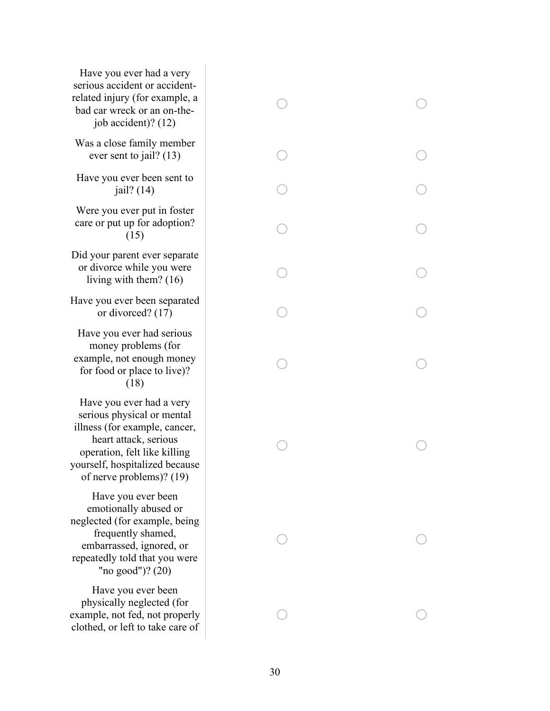| Have you ever had a very<br>serious accident or accident-<br>related injury (for example, a<br>bad car wreck or an on-the-<br>job accident)? (12)                                                              |  |
|----------------------------------------------------------------------------------------------------------------------------------------------------------------------------------------------------------------|--|
| Was a close family member<br>ever sent to jail? $(13)$                                                                                                                                                         |  |
| Have you ever been sent to<br>jail? $(14)$                                                                                                                                                                     |  |
| Were you ever put in foster<br>care or put up for adoption?<br>(15)                                                                                                                                            |  |
| Did your parent ever separate<br>or divorce while you were<br>living with them? $(16)$                                                                                                                         |  |
| Have you ever been separated<br>or divorced? $(17)$                                                                                                                                                            |  |
| Have you ever had serious<br>money problems (for<br>example, not enough money<br>for food or place to live)?<br>(18)                                                                                           |  |
| Have you ever had a very<br>serious physical or mental<br>illness (for example, cancer,<br>heart attack, serious<br>operation, felt like killing<br>yourself, hospitalized because<br>of nerve problems)? (19) |  |
| Have you ever been<br>emotionally abused or<br>neglected (for example, being<br>frequently shamed,<br>embarrassed, ignored, or<br>repeatedly told that you were<br>"no good")? $(20)$                          |  |
| Have you ever been<br>physically neglected (for<br>example, not fed, not properly<br>clothed, or left to take care of                                                                                          |  |

o

o

 $\bigcirc$ 

 $\bigcirc$ 

 $\bigcirc$ 

o

o

o

o

o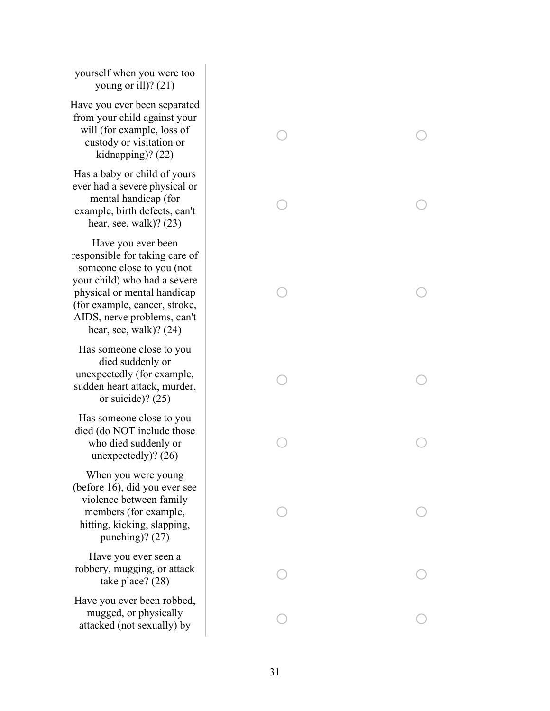yourself when you were too young or ill)? (21)

Have you ever been separated from your child against your will (for example, loss of custody or visitation or kidnapping)? (22)

Has a baby or child of yours ever had a severe physical or mental handicap (for example, birth defects, can't hear, see, walk)? (23)

Have you ever been responsible for taking care of someone close to you (not your child) who had a severe physical or mental handicap (for example, cancer, stroke, AIDS, nerve problems, can't hear, see, walk)? (24)

Has someone close to you died suddenly or unexpectedly (for example, sudden heart attack, murder, or suicide)? (25)

Has someone close to you died (do NOT include those who died suddenly or unexpectedly)? (26)

When you were young (before 16), did you ever see violence between family members (for example, hitting, kicking, slapping, punching)? (27)

Have you ever seen a robbery, mugging, or attack take place? (28)

Have you ever been robbed, mugged, or physically attacked (not sexually) by

| $\bigcirc$ | Γ                       |
|------------|-------------------------|
| $\bigcirc$ | Γ                       |
| $\bigcirc$ |                         |
| $\bigcirc$ | ſ                       |
| $\bigcirc$ | $\frac{1}{2}$           |
| $\bigcirc$ | С                       |
| $\bigcirc$ | $\overline{\mathsf{C}}$ |
| $\bigcirc$ | $\bigcirc$              |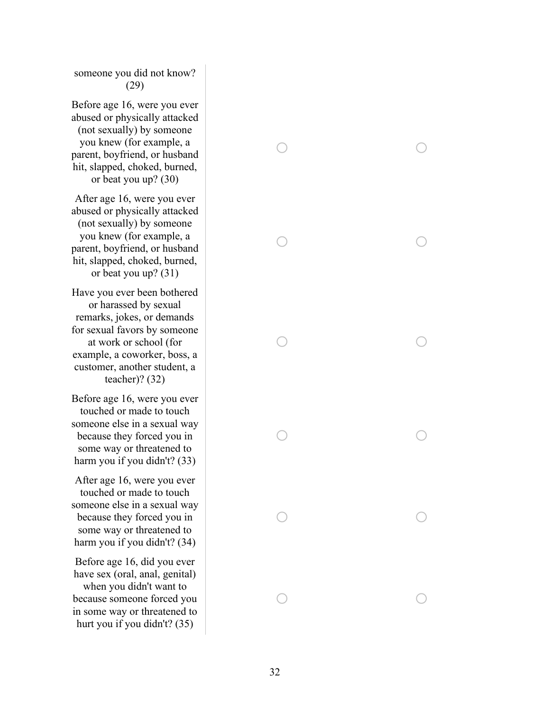someone you did not know? (29)

Before age 16, were you ever abused or physically attacked (not sexually) by someone you knew (for example, a parent, boyfriend, or husband hit, slapped, choked, burned, or beat you up? (30)

After age 16, were you ever abused or physically attacked (not sexually) by someone you knew (for example, a parent, boyfriend, or husband hit, slapped, choked, burned, or beat you up? (31)

Have you ever been bothered or harassed by sexual remarks, jokes, or demands for sexual favors by someone at work or school (for example, a coworker, boss, a customer, another student, a teacher)? (32)

Before age 16, were you ever touched or made to touch someone else in a sexual way because they forced you in some way or threatened to harm you if you didn't? (33)

After age 16, were you ever touched or made to touch someone else in a sexual way because they forced you in some way or threatened to harm you if you didn't? (34)

Before age 16, did you ever have sex (oral, anal, genital) when you didn't want to because someone forced you in some way or threatened to hurt you if you didn't? (35)

o o o o o o o o o o o o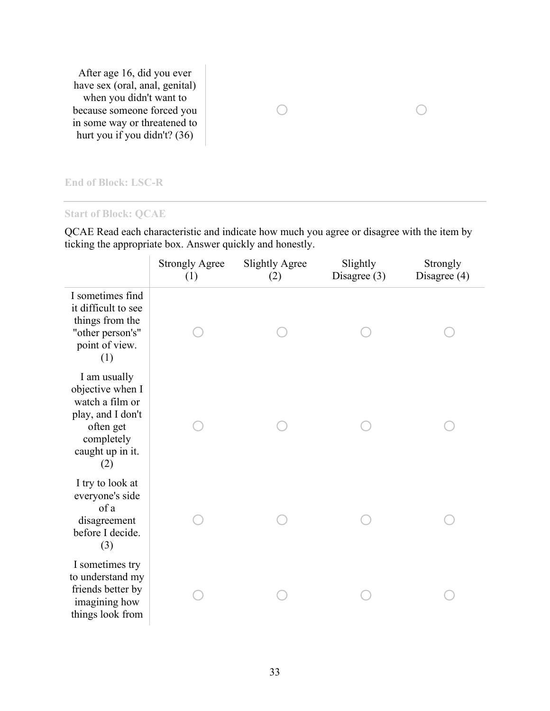After age 16, did you ever have sex (oral, anal, genital) when you didn't want to because someone forced you in some way or threatened to hurt you if you didn't? (36)

# $\circ$

#### **End of Block: LSC-R**

#### **Start of Block: QCAE**

QCAE Read each characteristic and indicate how much you agree or disagree with the item by ticking the appropriate box. Answer quickly and honestly.

|                                                                                                                                | <b>Strongly Agree</b><br>(1) | <b>Slightly Agree</b><br>(2) | Slightly<br>Disagree $(3)$ | Strongly<br>Disagree (4) |
|--------------------------------------------------------------------------------------------------------------------------------|------------------------------|------------------------------|----------------------------|--------------------------|
| I sometimes find<br>it difficult to see<br>things from the<br>"other person's"<br>point of view.<br>(1)                        |                              |                              |                            |                          |
| I am usually<br>objective when I<br>watch a film or<br>play, and I don't<br>often get<br>completely<br>caught up in it.<br>(2) |                              |                              |                            |                          |
| I try to look at<br>everyone's side<br>of a<br>disagreement<br>before I decide.<br>(3)                                         |                              |                              |                            |                          |
| I sometimes try<br>to understand my<br>friends better by<br>imagining how<br>things look from                                  |                              |                              |                            |                          |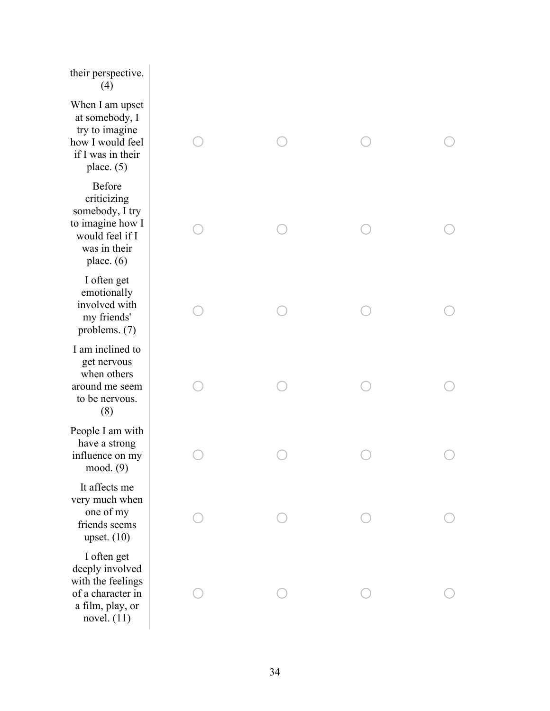### their perspective. (4)

When I am upset at somebody, I try to imagine how I would feel if I was in their place. (5)

Before criticizing somebody, I try to imagine how I would feel if I was in their place. (6)

I often get emotionally involved with my friends' problems. (7)

I am inclined to get nervous when others around me seem to be nervous. (8)

People I am with have a strong influence on my mood. (9)

It affects me very much when one of my friends seems upset. (10)

I often get deeply involved with the feelings of a character in a film, play, or novel.  $(11)$ 

| $\begin{array}{c}\n\circ \\ \circ\n\end{array}$ | $\begin{array}{ccc} & & \\ & \circ & \\ & & \end{array}$ | $\circ$                                                   | $\bigcirc$ |
|-------------------------------------------------|----------------------------------------------------------|-----------------------------------------------------------|------------|
| $\bigcirc$                                      | $\circ$                                                  | $\bigcirc$                                                | $\bigcirc$ |
| $\bigcirc$                                      | $\bigcirc$                                               | $\circ$                                                   | $\circ$    |
| $\bigcirc$                                      | $\bigcirc$                                               | $\bigcirc$                                                | $\circ$    |
| $\bigcirc$                                      | $\bigcirc$                                               | $\begin{array}{c}\n\mathbf{C} \\ \mathbf{C}\n\end{array}$ | $\bigcirc$ |
| Т                                               | T                                                        |                                                           |            |
| ×,                                              | Π                                                        |                                                           |            |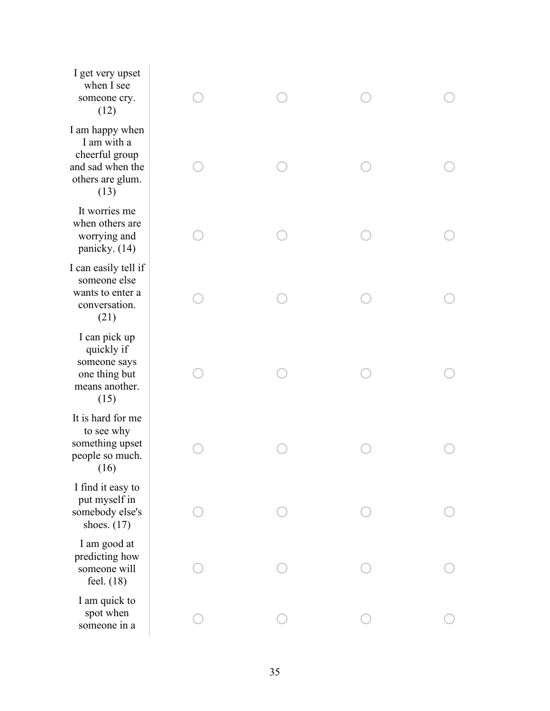I get very upset when I see someone cry. (12)

I am happy when I am with a cheerful group and sad when the others are glum. (13)

It worries me when others are worrying and panicky. (14)

I can easily tell if someone else wants to enter a conversation. (21)

I can pick up quickly if someone says one thing but means another. (15)

It is hard for me to see why something upset people so much. (16)

I find it easy to put myself in somebody else's shoes. (17)

I am good at predicting how someone will feel. (18)

I am quick to spot when someone in a

| $\bigcirc$ | $\bigcirc$                                      | $\bigcirc$                                                | $\bigcirc$ |
|------------|-------------------------------------------------|-----------------------------------------------------------|------------|
| $\bigcirc$ | $\begin{array}{c}\n\circ \\ \circ\n\end{array}$ | $\begin{array}{c}\n\mathbf{C} \\ \mathbf{C}\n\end{array}$ | $\bigcirc$ |
| $\bigcirc$ | $\bigcirc$                                      | $\bigcirc$                                                | $\bigcirc$ |
| $\bigcirc$ | $\bigcirc$                                      | $\bigcirc$                                                | $\bigcirc$ |
| $\bigcirc$ | $\bigcirc$                                      | $\bigcirc$                                                | $\bigcirc$ |
| $\bigcirc$ | $\bigcirc$                                      | $\bigcirc$                                                | $\bigcirc$ |
| $\bigcirc$ | $\bigcirc$                                      | $\bigcirc$                                                | D          |
| ◯          | ◯                                               | $\bigcirc$                                                | ∋          |
| $\bigcirc$ | $\bigcirc$                                      | $\bigcirc$                                                | $\bigcirc$ |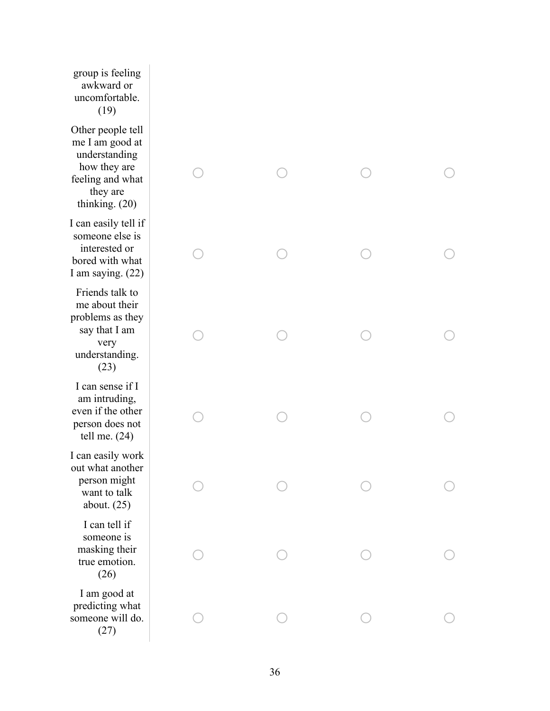group is feeling awkward or uncomfortable. (19)

Other people tell me I am good at understanding how they are feeling and what they are thinking. (20)

I can easily tell if someone else is interested or bored with what I am saying. (22)

Friends talk to me about their problems as they say that I am very understanding. (23)

I can sense if I am intruding, even if the other person does not tell me. (24)

I can easily work out what another person might want to talk about. (25)

I can tell if someone is masking their true emotion. (26)

I am good at predicting what someone will do. (27)

| $\bigcirc$ | $\bigcirc$                                               | $\begin{array}{c}\n\circ \\ \circ\n\end{array}$           | $\bigcirc$ |
|------------|----------------------------------------------------------|-----------------------------------------------------------|------------|
| $\bigcirc$ | $\bigcirc$                                               | $\bigcirc$                                                | $\bigcirc$ |
| $\bigcirc$ | $\begin{array}{c}\n\circ \\ \circ \\ \circ\n\end{array}$ | $\bigcirc$                                                | $\bigcirc$ |
| $\bigcirc$ | $\bigcirc$                                               | $\bigcirc$                                                | D          |
| $\bigcirc$ | $\begin{array}{c}\n\circ \\ \circ\n\end{array}$          | $\begin{array}{c}\n\mathbf{C} \\ \mathbf{C}\n\end{array}$ | $\bigcirc$ |
| $\bigcirc$ | $\bigcirc$                                               | $\bigcirc$                                                | $\bigcirc$ |
| $\bigcirc$ | $\bigcirc$                                               | $\bigcirc$                                                | $\bigcirc$ |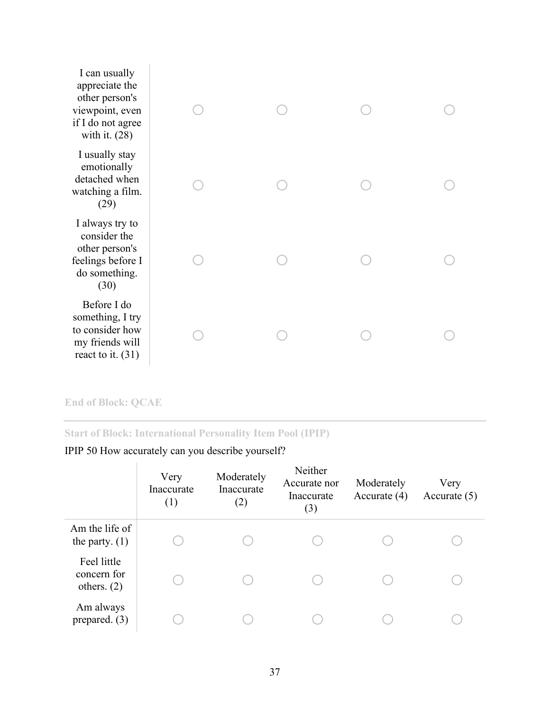| I can usually<br>appreciate the<br>other person's<br>viewpoint, even<br>if I do not agree<br>with it. $(28)$ |  |  |
|--------------------------------------------------------------------------------------------------------------|--|--|
| I usually stay<br>emotionally<br>detached when<br>watching a film.<br>(29)                                   |  |  |
| I always try to<br>consider the<br>other person's<br>feelings before I<br>do something.<br>(30)              |  |  |
| Before I do<br>something, I try<br>to consider how<br>my friends will<br>react to it. $(31)$                 |  |  |

# **End of Block: QCAE**

# **Start of Block: International Personality Item Pool (IPIP)**

| IPIP 50 How accurately can you describe yourself? |  |  |  |  |  |  |
|---------------------------------------------------|--|--|--|--|--|--|
|---------------------------------------------------|--|--|--|--|--|--|

|                                             | Very<br>Inaccurate<br>(1) | Moderately<br>Inaccurate<br>(2) | Neither<br>Accurate nor<br>Inaccurate<br>(3) | Moderately<br>Accurate $(4)$ | Very<br>Accurate $(5)$ |
|---------------------------------------------|---------------------------|---------------------------------|----------------------------------------------|------------------------------|------------------------|
| Am the life of<br>the party. $(1)$          |                           |                                 |                                              |                              |                        |
| Feel little<br>concern for<br>others. $(2)$ |                           |                                 |                                              |                              |                        |
| Am always<br>prepared. $(3)$                |                           |                                 |                                              |                              |                        |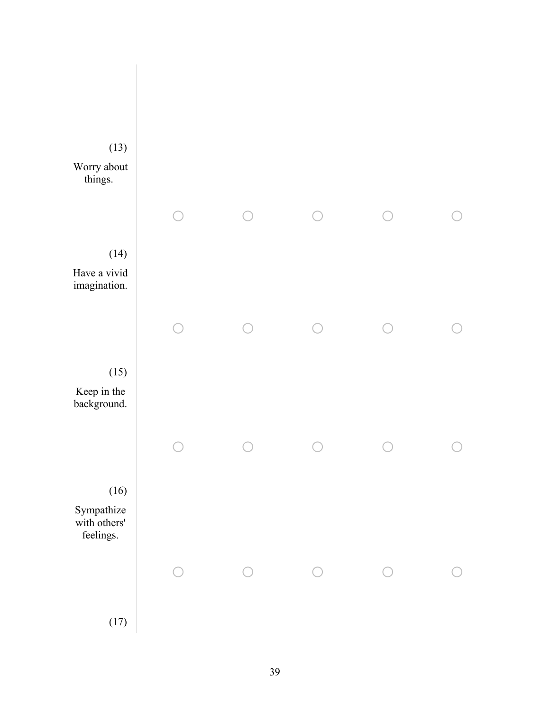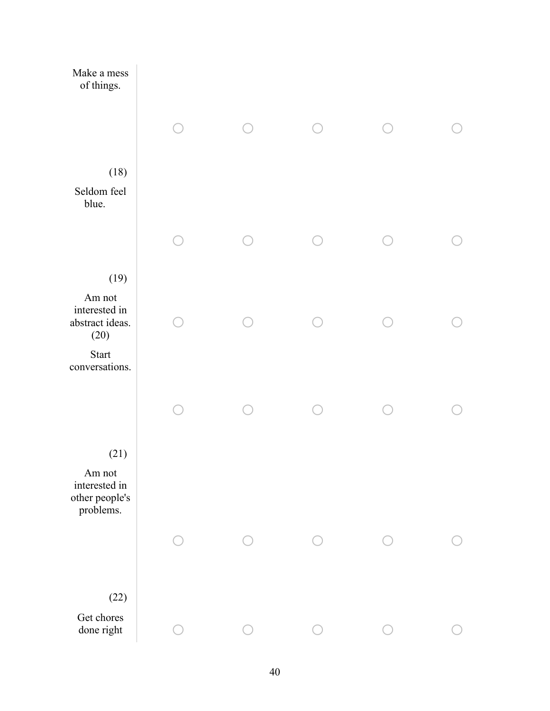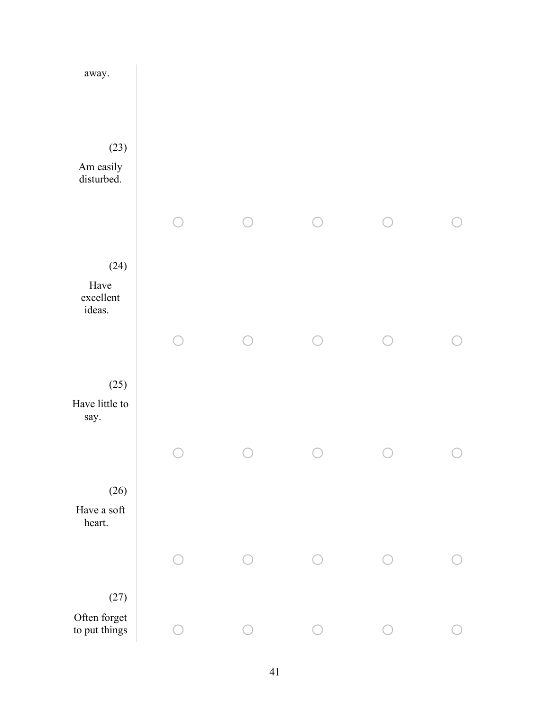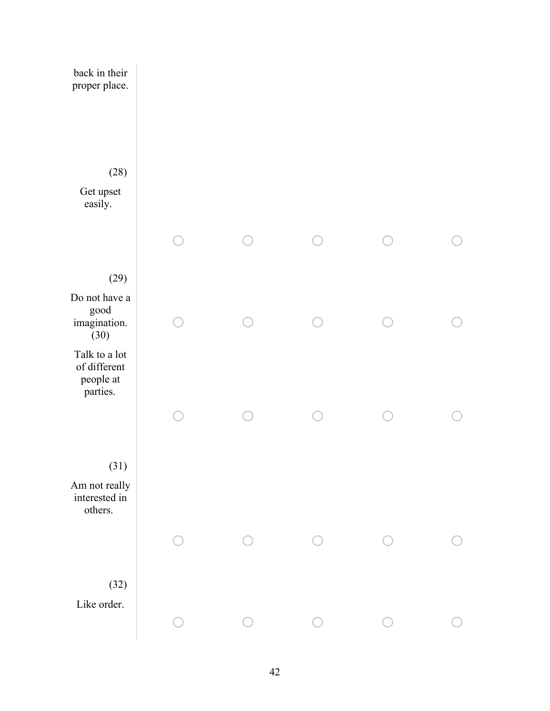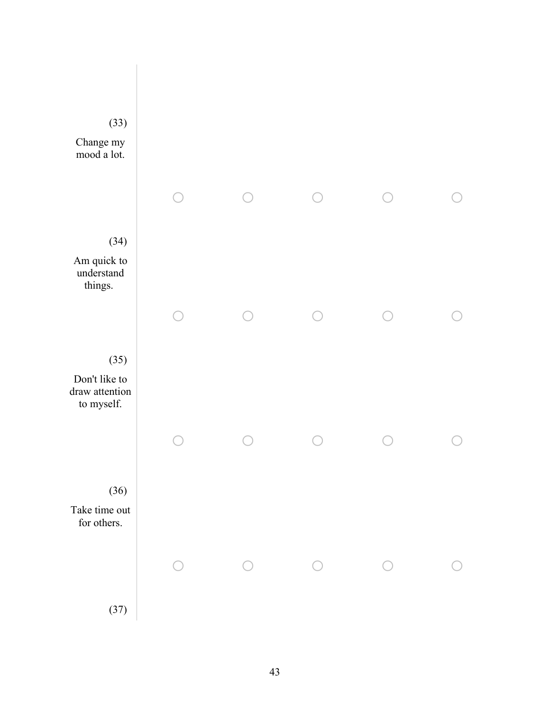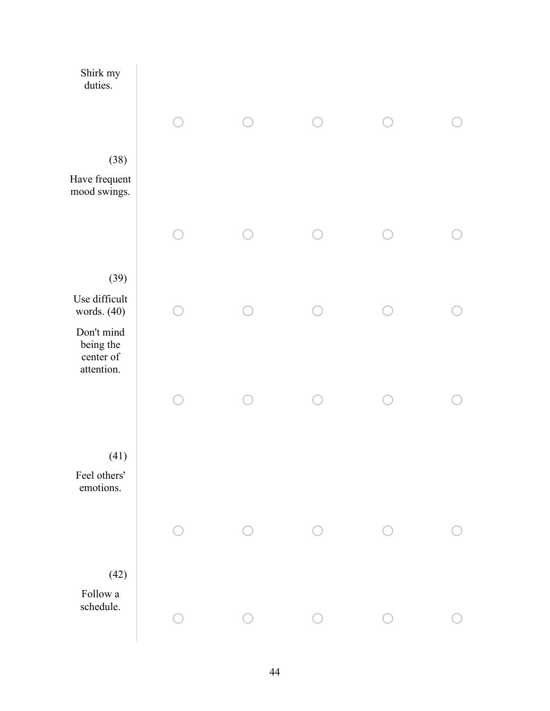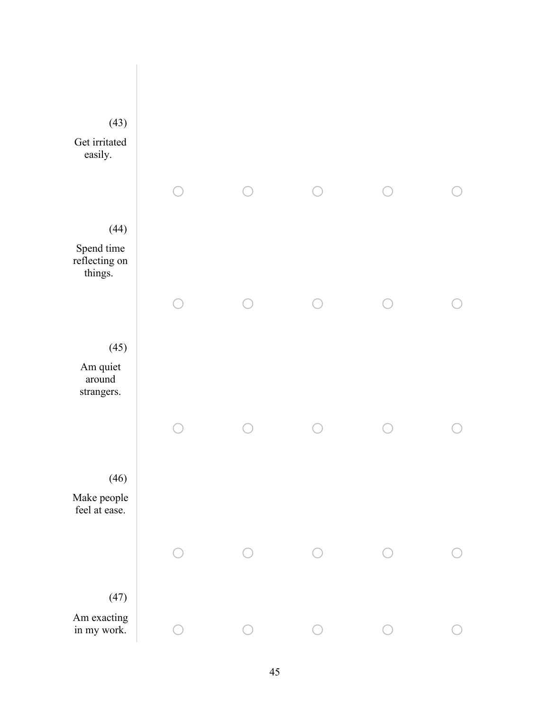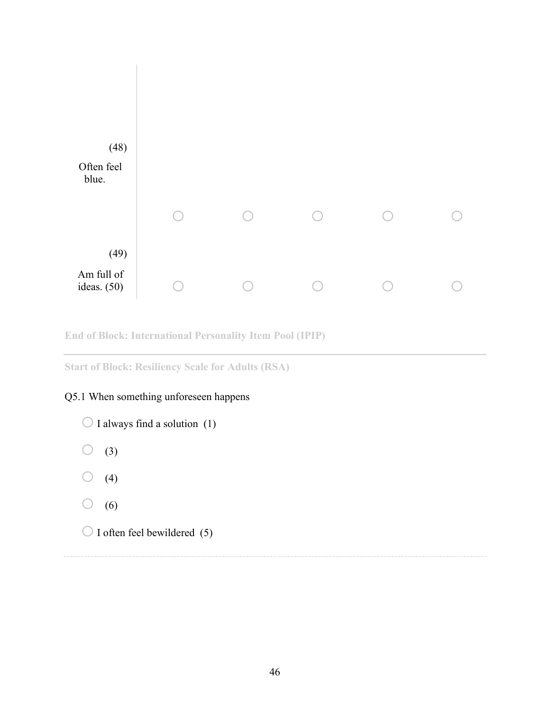

**End of Block: International Personality Item Pool (IPIP)**

**Start of Block: Resiliency Scale for Adults (RSA)**

# Q5.1 When something unforeseen happens

 $\bigcirc$  I always find a solution (1)  $\bigcirc$  (3)  $\bigcirc$  (4)  $\bigcirc$  (6)  $\bigcirc$  I often feel bewildered (5)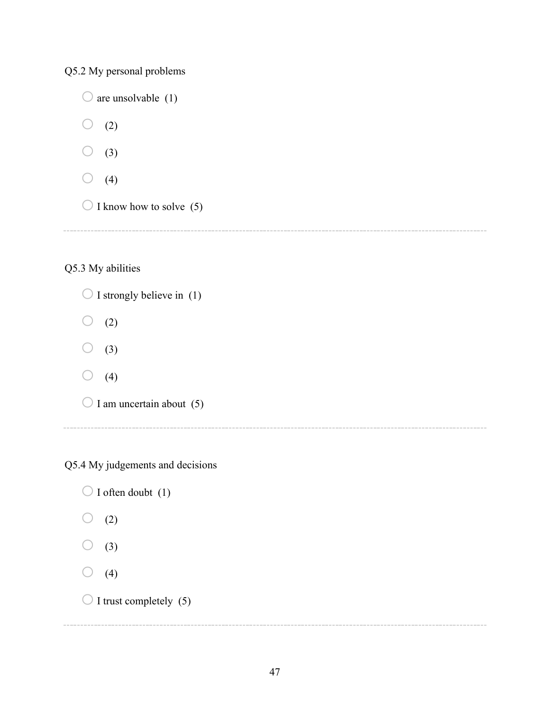Q5.2 My personal problems

 $\bigcirc$  are unsolvable (1)  $\bigcirc$  (2)  $\bigcirc$  (3)  $\bigcirc$  (4)  $\bigcirc$  I know how to solve (5)

# Q5.3 My abilities

 $\bigcirc$  I strongly believe in (1)  $\bigcirc$  (2)  $\bigcirc$  (3)  $\bigcirc$  (4)  $\bigcirc$  I am uncertain about (5)

Q5.4 My judgements and decisions

 $\bigcirc$  I often doubt (1)  $\bigcirc$  (2)  $\bigcirc$  (3)  $\bigcirc$  (4)  $\bigcirc$  I trust completely (5)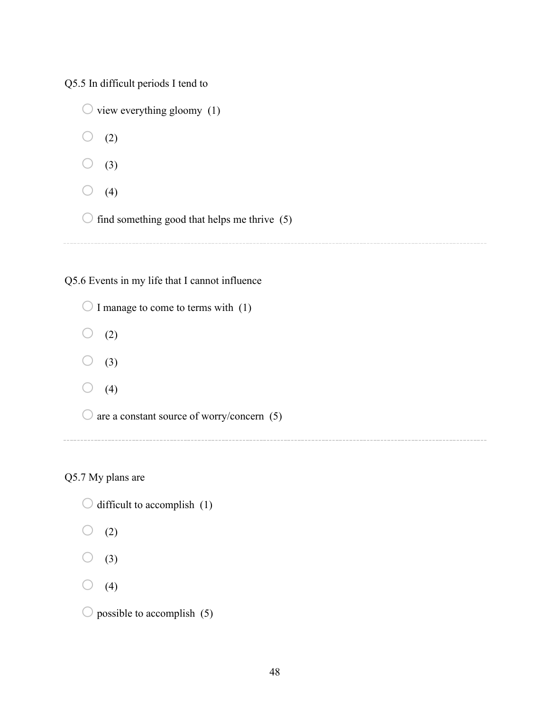Q5.5 In difficult periods I tend to

|  | $\bigcirc$ view everything gloomy (1)                   |
|--|---------------------------------------------------------|
|  | (2)                                                     |
|  | (3)                                                     |
|  | (4)                                                     |
|  | $\bigcirc$ find something good that helps me thrive (5) |
|  |                                                         |

Q5.6 Events in my life that I cannot influence

 $\bigcirc$  I manage to come to terms with (1)  $\bigcirc$  (2)  $\bigcirc$  (3)  $\bigcirc$  (4)  $\bigcirc$  are a constant source of worry/concern (5)

Q5.7 My plans are

| $\bigcirc$ difficult to accomplish (1) |  |
|----------------------------------------|--|
| $\bigcirc$ (2)                         |  |

- 
- $\bigcirc$  (3)

 $\bigcirc$  (4)

 $\bigcirc$  possible to accomplish (5)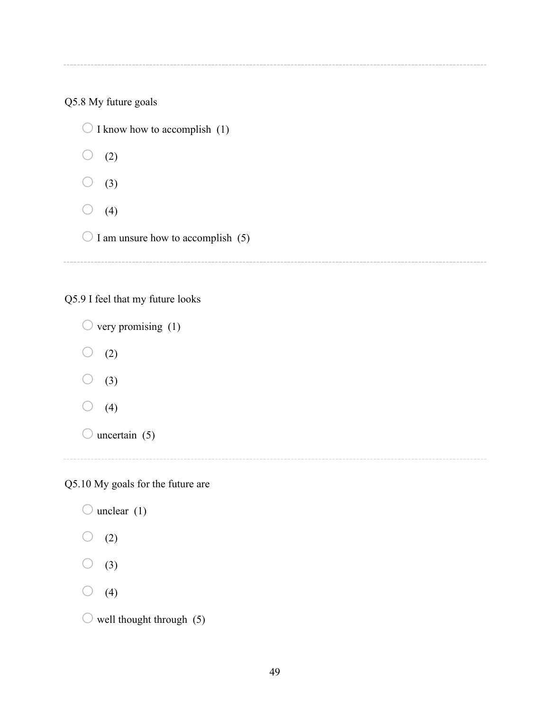Q5.8 My future goals

 $\bigcirc$  I know how to accomplish (1)  $\bigcirc$  (2)  $\bigcirc$  (3)  $\bigcirc$  (4)  $\bigcirc$  I am unsure how to accomplish (5)

Q5.9 I feel that my future looks

 $\bigcirc$  very promising (1)  $\bigcirc$  (2)  $\bigcirc$  (3)  $\bigcirc$  (4)  $\bigcirc$  uncertain (5)

Q5.10 My goals for the future are

 $\bigcirc$  unclear (1)  $\bigcirc$  (2)  $\bigcirc$  (3)  $\bigcirc$  (4)  $\bigcirc$  well thought through (5)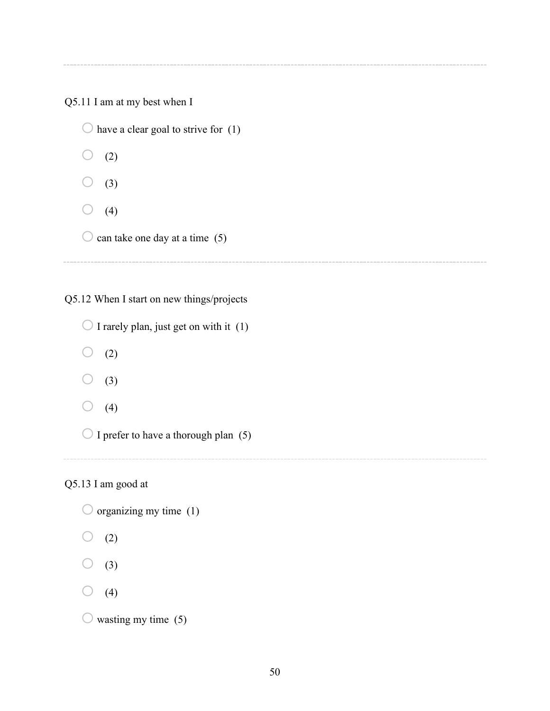Q5.11 I am at my best when I

 $\bigcirc$  have a clear goal to strive for (1)  $\bigcirc$  (2)  $(3)$  $\bigcirc$  (4)  $\bigcirc$  can take one day at a time (5)

Q5.12 When I start on new things/projects

 $\bigcirc$  I rarely plan, just get on with it (1)  $\bigcirc$  (2)

 $\bigcirc$  (3)

 $\bigcirc$  (4)

 $\bigcirc$  I prefer to have a thorough plan (5)

# Q5.13 I am good at

 $\bigcirc$  organizing my time (1)

 $\bigcirc$  (2)

 $\bigcirc$  (3)

 $\bigcirc$  (4)

 $\circ$  wasting my time (5)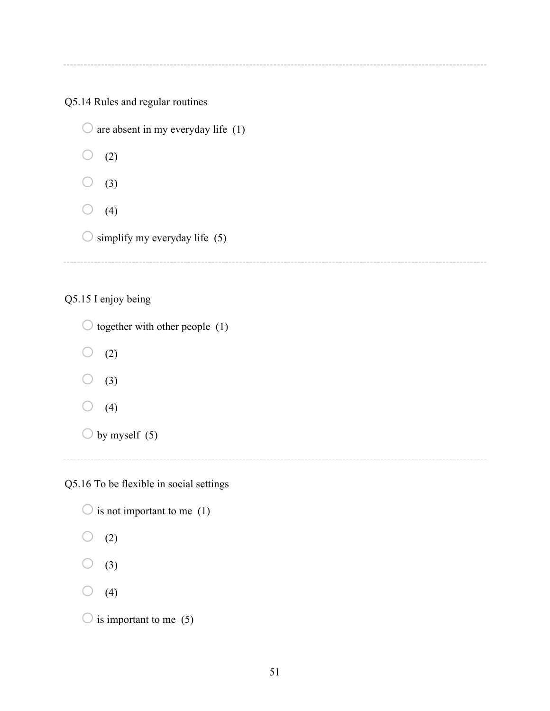# Q5.14 Rules and regular routines

 $\bigcirc$  are absent in my everyday life (1)  $\bigcirc$  (2)  $\bigcirc$  (3)  $\bigcirc$  (4)  $\bigcirc$  simplify my everyday life (5)

Q5.15 I enjoy being

 $\bigcirc$  together with other people (1)  $\bigcirc$  (2)  $\bigcirc$  (3)  $\bigcirc$  (4)  $\bigcirc$  by myself (5) 

Q5.16 To be flexible in social settings

| $\bigcirc$ is not important to me (1) |  |  |  |
|---------------------------------------|--|--|--|
| (2)                                   |  |  |  |
| (3)<br>$\cup$                         |  |  |  |
| $\cup$ (4)                            |  |  |  |
| $\bigcirc$ is important to me (5)     |  |  |  |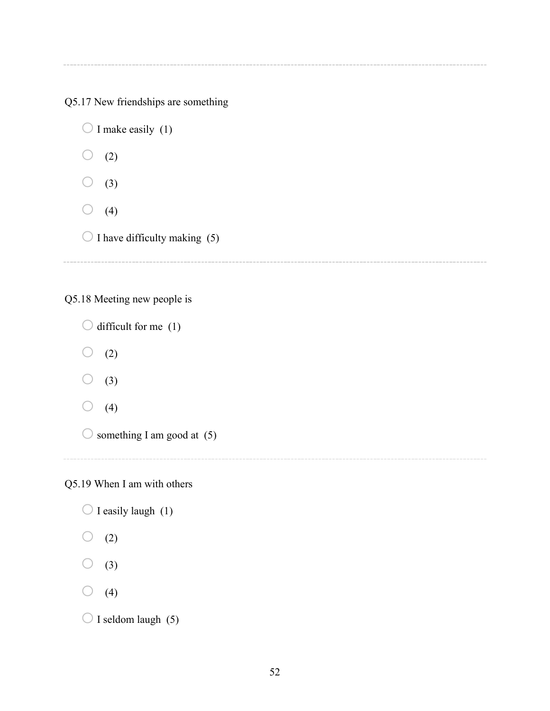Q5.17 New friendships are something

 $\bigcirc$  I make easily (1)  $\bigcirc$  (2)  $\bigcirc$  (3)  $\bigcirc$  (4)  $\bigcirc$  I have difficulty making (5)

Q5.18 Meeting new people is

 $\bigcirc$  difficult for me (1)  $\bigcirc$  (2)  $\bigcirc$  (3)  $\bigcirc$  (4)

 $\bigcirc$  something I am good at (5)

Q5.19 When I am with others

 $\bigcirc$  I easily laugh (1)  $\bigcirc$  (2)  $\bigcirc$  (3)  $\bigcirc$  (4)  $\bigcirc$  I seldom laugh (5)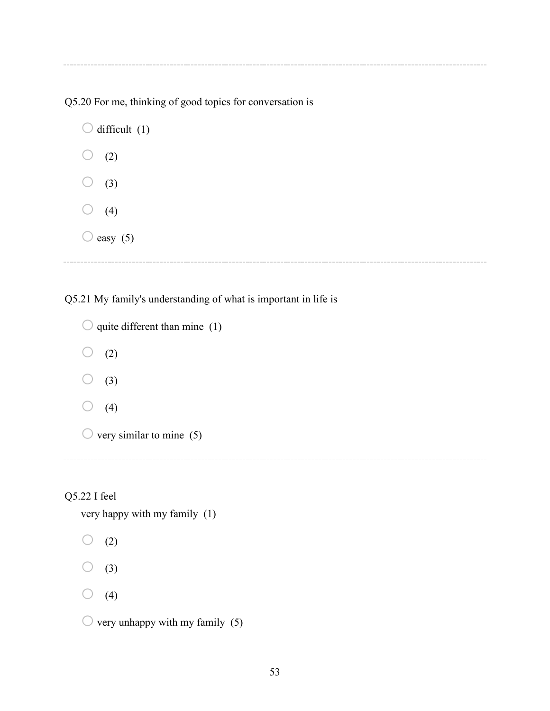Q5.20 For me, thinking of good topics for conversation is

 $\bigcirc$  difficult (1)  $\bigcirc$  (2)  $\bigcirc$  (3)  $\bigcirc$  (4)  $\bigcirc$  easy (5)

Q5.21 My family's understanding of what is important in life is

```
\bigcirc quite different than mine (1)
\bigcirc (2)
\bigcirc (3)
\bigcirc (4)
\bigcirc very similar to mine (5)
```
# Q5.22 I feel

very happy with my family (1)

 $\bigcirc$  (2)

 $\bigcirc$  (3)

 $\bigcirc$  (4)

 $\circlearrowright$  very unhappy with my family (5)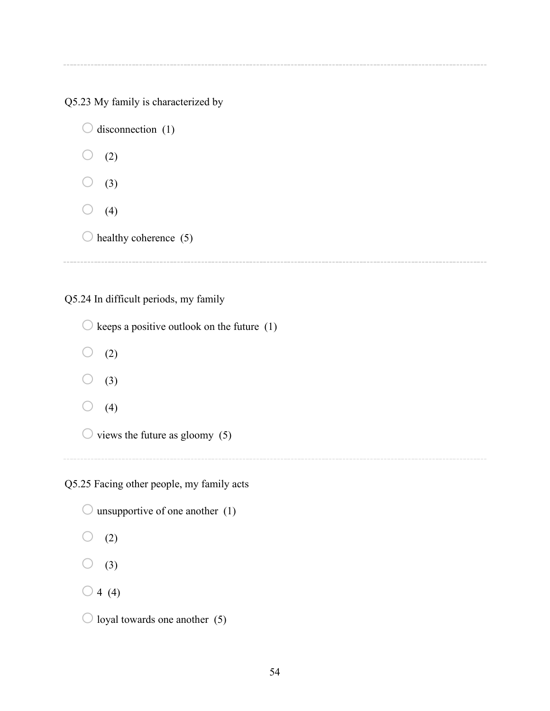Q5.23 My family is characterized by

 $\bigcirc$  disconnection (1)  $\bigcirc$  (2)  $(3)$  $\bigcirc$  (4)  $\bigcirc$  healthy coherence (5)

Q5.24 In difficult periods, my family

 $\bigcirc$  keeps a positive outlook on the future (1)  $\bigcirc$  (2)  $\bigcirc$  (3)  $\bigcirc$  (4)  $\bigcirc$  views the future as gloomy (5) 

Q5.25 Facing other people, my family acts

 $\bigcirc$  unsupportive of one another (1)  $\bigcirc$  (2)  $\bigcirc$  (3)  $\bigcirc$  4 (4)  $\bigcirc$  loyal towards one another (5)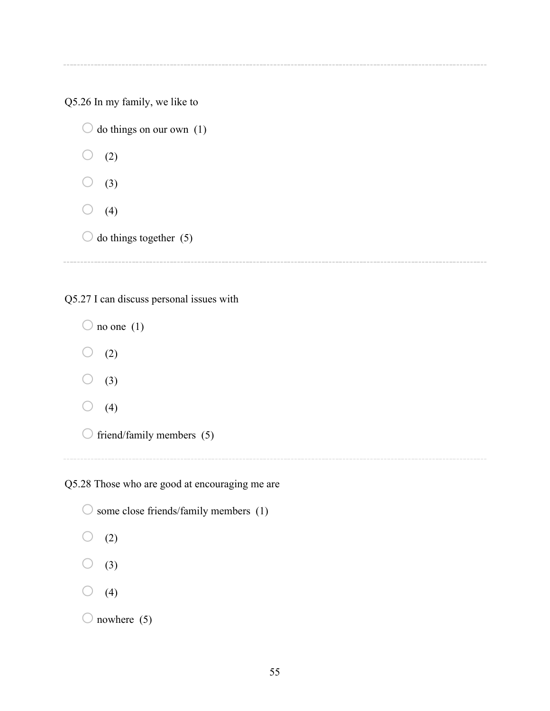Q5.26 In my family, we like to

 $\bigcirc$  do things on our own (1)  $\bigcirc$  (2)  $(3)$  $\bigcirc$  (4)  $\bigcirc$  do things together (5)

Q5.27 I can discuss personal issues with

 $\bigcirc$  no one (1)  $\bigcirc$  (2)  $\bigcirc$  (3)  $\bigcirc$  (4)  $\bigcirc$  friend/family members (5)

Q5.28 Those who are good at encouraging me are

 $\bigcirc$  some close friends/family members (1)  $\bigcirc$  (2)  $(3)$  $\bigcirc$  (4)  $\bigcirc$  nowhere (5)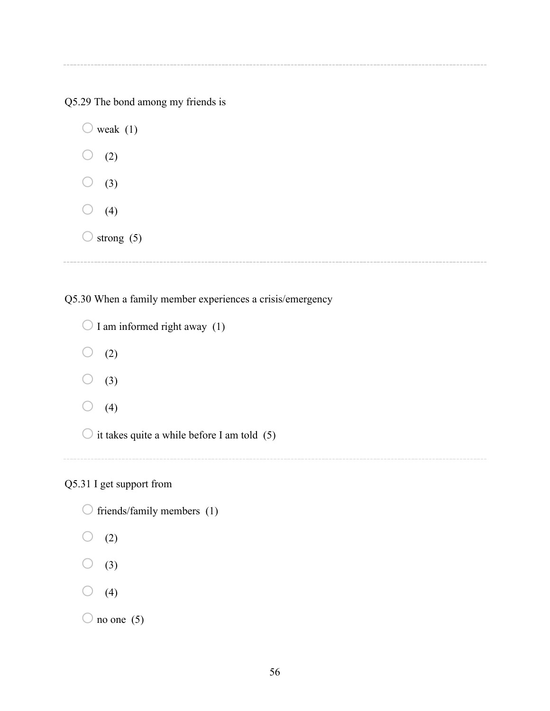Q5.29 The bond among my friends is

 $\bigcirc$  weak (1)  $\bigcirc$  (2)  $\bigcirc$  (3)  $\bigcirc$  (4)  $\bigcirc$  strong (5)

Q5.30 When a family member experiences a crisis/emergency

```
\bigcirc I am informed right away (1)
\bigcirc (2)
\bigcirc (3)
\bigcirc (4)
\bigcirc it takes quite a while before I am told (5)
```
# Q5.31 I get support from

- $\bigcirc$  friends/family members (1)
- $\bigcirc$  (2)
- $\bigcirc$  (3)
- $\bigcirc$  (4)

```
\bigcirc no one (5)
```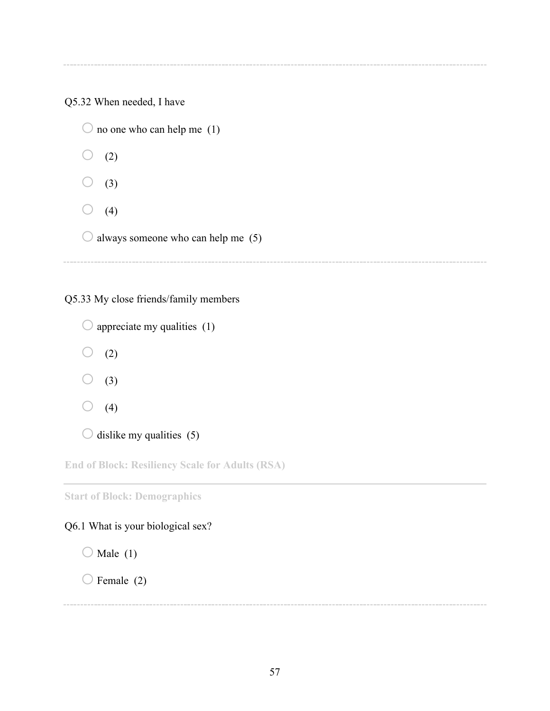Q5.32 When needed, I have

 $\bigcirc$  no one who can help me (1)  $\bigcirc$  (2)  $(3)$  $\bigcirc$  (4)  $\bigcirc$  always someone who can help me (5)

Q5.33 My close friends/family members

 $\bigcirc$  appreciate my qualities (1)  $\bigcirc$  (2)  $\bigcirc$  (3)  $\bigcirc$  (4)  $\bigcirc$  dislike my qualities (5)

**End of Block: Resiliency Scale for Adults (RSA)**

**Start of Block: Demographics**

# Q6.1 What is your biological sex?

 $\bigcirc$  Male (1)

 $\bigcirc$  Female (2)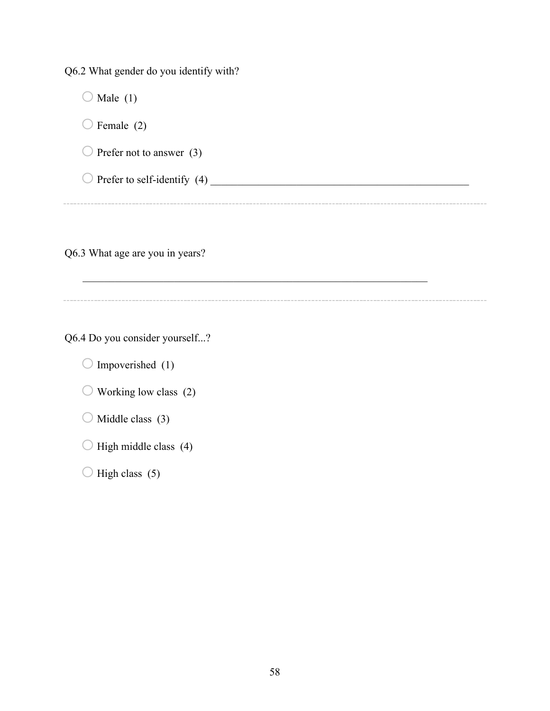Q6.2 What gender do you identify with?

 $\bigcirc$  Male (1)  $\bigcirc$  Female (2)  $\bigcirc$  Prefer not to answer (3) oPrefer to self-identify (4) \_\_\_\_\_\_\_\_\_\_\_\_\_\_\_\_\_\_\_\_\_\_\_\_\_\_\_\_\_\_\_\_\_\_\_\_\_\_\_\_\_\_\_\_\_\_\_\_

Q6.3 What age are you in years?

Q6.4 Do you consider yourself...?

 $\bigcirc$  Impoverished (1)

 $\bigcirc$  Working low class (2)

 $\bigcirc$  Middle class (3)

 $\bigcirc$  High middle class (4)

 $\bigcirc$  High class (5)